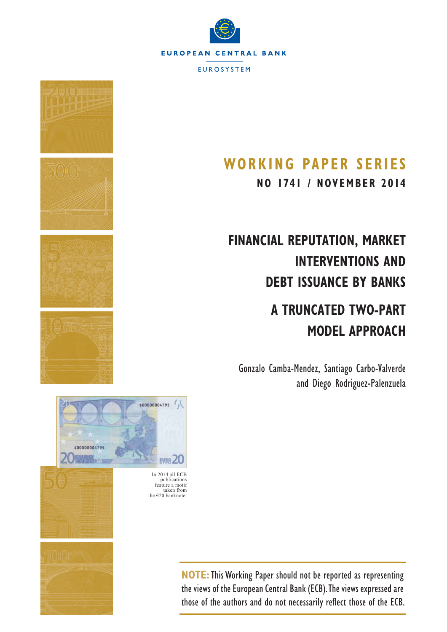



# **WORKING PAPER SERIES**

**NO 1741 / NOVEMBER 2014**

# **FINANCIAL REPUTATION, MARKET INTERVENTIONS AND DEBT ISSUANCE BY BANKS**

# **A TRUNCATED TWO-PART MODEL APPROACH**

Gonzalo Camba-Mendez, Santiago Carbo-Valverde and Diego Rodriguez-Palenzuela



**NOTE:**This Working Paper should not be reported as representing the views of the European Central Bank (ECB). The views expressed are those of the authors and do not necessarily reflect those of the ECB.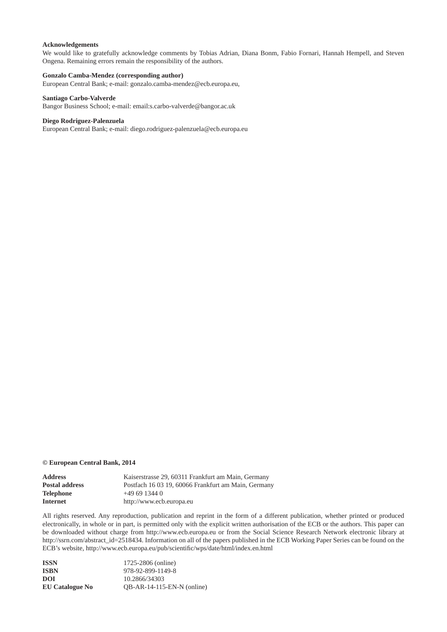#### **Acknowledgements**

 We would like to gratefully acknowledge comments by Tobias Adrian, Diana Bonm, Fabio Fornari, Hannah Hempell, and Steven Ongena. Remaining errors remain the responsibility of the authors.

#### **Gonzalo Camba-Mendez (corresponding author)**

European Central Bank; e-mail: gonzalo.camba-mendez@ecb.europa.eu,

#### **Santiago Carbo-Valverde**

Bangor Business School; e-mail: email:s.carbo-valverde@bangor.ac.uk

#### **Diego Rodriguez-Palenzuela**

European Central Bank; e-mail: diego.rodriguez-palenzuela@ecb.europa.eu

#### **© European Central Bank, 2014**

| <b>Address</b>        | Kaiserstrasse 29, 60311 Frankfurt am Main, Germany  |
|-----------------------|-----------------------------------------------------|
| <b>Postal address</b> | Postfach 16 03 19, 60066 Frankfurt am Main, Germany |
| <b>Telephone</b>      | $+496913440$                                        |
| Internet              | http://www.ecb.europa.eu                            |

All rights reserved. Any reproduction, publication and reprint in the form of a different publication, whether printed or produced electronically, in whole or in part, is permitted only with the explicit written authorisation of the ECB or the authors. This paper can be downloaded without charge from http://www.ecb.europa.eu or from the Social Science Research Network electronic library at http://ssrn.com/abstract\_id=2518434. Information on all of the papers published in the ECB Working Paper Series can be found on the ECB's website, http://www.ecb.europa.eu/pub/scientific/wps/date/html/index.en.html

| <b>ISSN</b>            | 1725-2806 (online)           |
|------------------------|------------------------------|
| <b>ISBN</b>            | 978-92-899-1149-8            |
| DOI                    | 10.2866/34303                |
| <b>EU Catalogue No</b> | $OB-AR-14-115-EN-N$ (online) |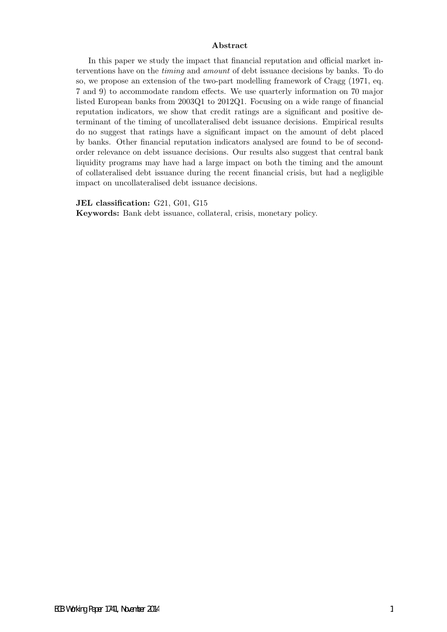#### Abstract

In this paper we study the impact that financial reputation and official market interventions have on the timing and amount of debt issuance decisions by banks. To do so, we propose an extension of the two-part modelling framework of Cragg (1971, eq. 7 and 9) to accommodate random effects. We use quarterly information on 70 major listed European banks from 2003Q1 to 2012Q1. Focusing on a wide range of financial reputation indicators, we show that credit ratings are a significant and positive determinant of the timing of uncollateralised debt issuance decisions. Empirical results do no suggest that ratings have a significant impact on the amount of debt placed by banks. Other financial reputation indicators analysed are found to be of secondorder relevance on debt issuance decisions. Our results also suggest that central bank liquidity programs may have had a large impact on both the timing and the amount of collateralised debt issuance during the recent financial crisis, but had a negligible impact on uncollateralised debt issuance decisions.

#### JEL classification: G21, G01, G15

Keywords: Bank debt issuance, collateral, crisis, monetary policy.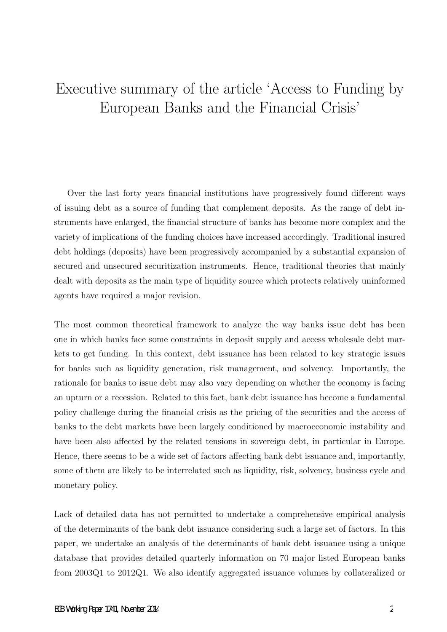# Executive summary of the article 'Access to Funding by European Banks and the Financial Crisis'

Over the last forty years financial institutions have progressively found different ways of issuing debt as a source of funding that complement deposits. As the range of debt instruments have enlarged, the financial structure of banks has become more complex and the variety of implications of the funding choices have increased accordingly. Traditional insured debt holdings (deposits) have been progressively accompanied by a substantial expansion of secured and unsecured securitization instruments. Hence, traditional theories that mainly dealt with deposits as the main type of liquidity source which protects relatively uninformed agents have required a major revision.

The most common theoretical framework to analyze the way banks issue debt has been one in which banks face some constraints in deposit supply and access wholesale debt markets to get funding. In this context, debt issuance has been related to key strategic issues for banks such as liquidity generation, risk management, and solvency. Importantly, the rationale for banks to issue debt may also vary depending on whether the economy is facing an upturn or a recession. Related to this fact, bank debt issuance has become a fundamental policy challenge during the financial crisis as the pricing of the securities and the access of banks to the debt markets have been largely conditioned by macroeconomic instability and have been also affected by the related tensions in sovereign debt, in particular in Europe. Hence, there seems to be a wide set of factors affecting bank debt issuance and, importantly, some of them are likely to be interrelated such as liquidity, risk, solvency, business cycle and monetary policy.

Lack of detailed data has not permitted to undertake a comprehensive empirical analysis of the determinants of the bank debt issuance considering such a large set of factors. In this paper, we undertake an analysis of the determinants of bank debt issuance using a unique database that provides detailed quarterly information on 70 major listed European banks from 2003Q1 to 2012Q1. We also identify aggregated issuance volumes by collateralized or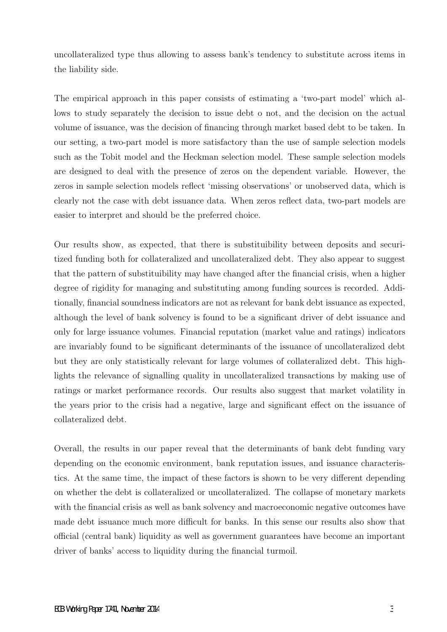uncollateralized type thus allowing to assess bank's tendency to substitute across items in the liability side.

The empirical approach in this paper consists of estimating a 'two-part model' which allows to study separately the decision to issue debt o not, and the decision on the actual volume of issuance, was the decision of financing through market based debt to be taken. In our setting, a two-part model is more satisfactory than the use of sample selection models such as the Tobit model and the Heckman selection model. These sample selection models are designed to deal with the presence of zeros on the dependent variable. However, the zeros in sample selection models reflect 'missing observations' or unobserved data, which is clearly not the case with debt issuance data. When zeros reflect data, two-part models are easier to interpret and should be the preferred choice.

Our results show, as expected, that there is substituibility between deposits and securitized funding both for collateralized and uncollateralized debt. They also appear to suggest that the pattern of substituibility may have changed after the financial crisis, when a higher degree of rigidity for managing and substituting among funding sources is recorded. Additionally, financial soundness indicators are not as relevant for bank debt issuance as expected, although the level of bank solvency is found to be a significant driver of debt issuance and only for large issuance volumes. Financial reputation (market value and ratings) indicators are invariably found to be significant determinants of the issuance of uncollateralized debt but they are only statistically relevant for large volumes of collateralized debt. This highlights the relevance of signalling quality in uncollateralized transactions by making use of ratings or market performance records. Our results also suggest that market volatility in the years prior to the crisis had a negative, large and significant effect on the issuance of collateralized debt.

Overall, the results in our paper reveal that the determinants of bank debt funding vary depending on the economic environment, bank reputation issues, and issuance characteristics. At the same time, the impact of these factors is shown to be very different depending on whether the debt is collateralized or uncollateralized. The collapse of monetary markets with the financial crisis as well as bank solvency and macroeconomic negative outcomes have made debt issuance much more difficult for banks. In this sense our results also show that official (central bank) liquidity as well as government guarantees have become an important driver of banks' access to liquidity during the financial turmoil.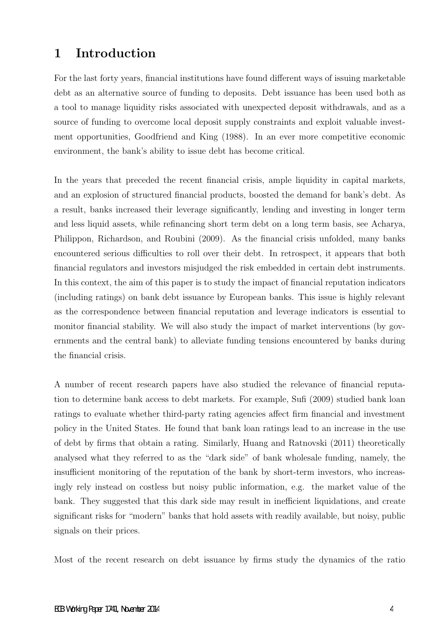# 1 Introduction

For the last forty years, financial institutions have found different ways of issuing marketable debt as an alternative source of funding to deposits. Debt issuance has been used both as a tool to manage liquidity risks associated with unexpected deposit withdrawals, and as a source of funding to overcome local deposit supply constraints and exploit valuable investment opportunities, Goodfriend and King (1988). In an ever more competitive economic environment, the bank's ability to issue debt has become critical.

In the years that preceded the recent financial crisis, ample liquidity in capital markets, and an explosion of structured financial products, boosted the demand for bank's debt. As a result, banks increased their leverage significantly, lending and investing in longer term and less liquid assets, while refinancing short term debt on a long term basis, see Acharya, Philippon, Richardson, and Roubini (2009). As the financial crisis unfolded, many banks encountered serious difficulties to roll over their debt. In retrospect, it appears that both financial regulators and investors misjudged the risk embedded in certain debt instruments. In this context, the aim of this paper is to study the impact of financial reputation indicators (including ratings) on bank debt issuance by European banks. This issue is highly relevant as the correspondence between financial reputation and leverage indicators is essential to monitor financial stability. We will also study the impact of market interventions (by governments and the central bank) to alleviate funding tensions encountered by banks during the financial crisis.

A number of recent research papers have also studied the relevance of financial reputation to determine bank access to debt markets. For example, Sufi (2009) studied bank loan ratings to evaluate whether third-party rating agencies affect firm financial and investment policy in the United States. He found that bank loan ratings lead to an increase in the use of debt by firms that obtain a rating. Similarly, Huang and Ratnovski (2011) theoretically analysed what they referred to as the "dark side" of bank wholesale funding, namely, the insufficient monitoring of the reputation of the bank by short-term investors, who increasingly rely instead on costless but noisy public information, e.g. the market value of the bank. They suggested that this dark side may result in inefficient liquidations, and create significant risks for "modern" banks that hold assets with readily available, but noisy, public signals on their prices.

Most of the recent research on debt issuance by firms study the dynamics of the ratio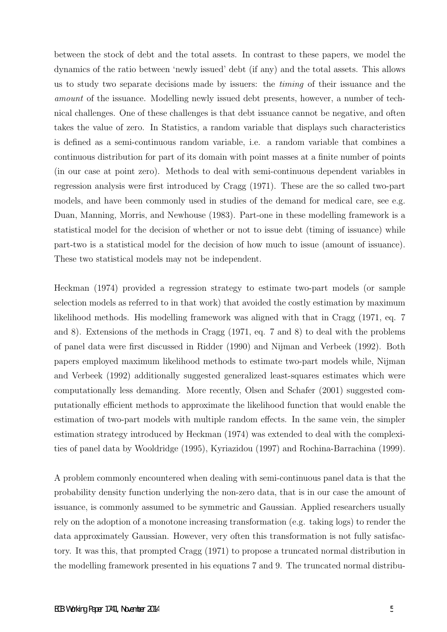between the stock of debt and the total assets. In contrast to these papers, we model the dynamics of the ratio between 'newly issued' debt (if any) and the total assets. This allows us to study two separate decisions made by issuers: the timing of their issuance and the amount of the issuance. Modelling newly issued debt presents, however, a number of technical challenges. One of these challenges is that debt issuance cannot be negative, and often takes the value of zero. In Statistics, a random variable that displays such characteristics is defined as a semi-continuous random variable, i.e. a random variable that combines a continuous distribution for part of its domain with point masses at a finite number of points (in our case at point zero). Methods to deal with semi-continuous dependent variables in regression analysis were first introduced by Cragg (1971). These are the so called two-part models, and have been commonly used in studies of the demand for medical care, see e.g. Duan, Manning, Morris, and Newhouse (1983). Part-one in these modelling framework is a statistical model for the decision of whether or not to issue debt (timing of issuance) while part-two is a statistical model for the decision of how much to issue (amount of issuance). These two statistical models may not be independent.

Heckman (1974) provided a regression strategy to estimate two-part models (or sample selection models as referred to in that work) that avoided the costly estimation by maximum likelihood methods. His modelling framework was aligned with that in Cragg (1971, eq. 7 and 8). Extensions of the methods in Cragg (1971, eq. 7 and 8) to deal with the problems of panel data were first discussed in Ridder (1990) and Nijman and Verbeek (1992). Both papers employed maximum likelihood methods to estimate two-part models while, Nijman and Verbeek (1992) additionally suggested generalized least-squares estimates which were computationally less demanding. More recently, Olsen and Schafer (2001) suggested computationally efficient methods to approximate the likelihood function that would enable the estimation of two-part models with multiple random effects. In the same vein, the simpler estimation strategy introduced by Heckman (1974) was extended to deal with the complexities of panel data by Wooldridge (1995), Kyriazidou (1997) and Rochina-Barrachina (1999).

A problem commonly encountered when dealing with semi-continuous panel data is that the probability density function underlying the non-zero data, that is in our case the amount of issuance, is commonly assumed to be symmetric and Gaussian. Applied researchers usually rely on the adoption of a monotone increasing transformation (e.g. taking logs) to render the data approximately Gaussian. However, very often this transformation is not fully satisfactory. It was this, that prompted Cragg (1971) to propose a truncated normal distribution in the modelling framework presented in his equations 7 and 9. The truncated normal distribu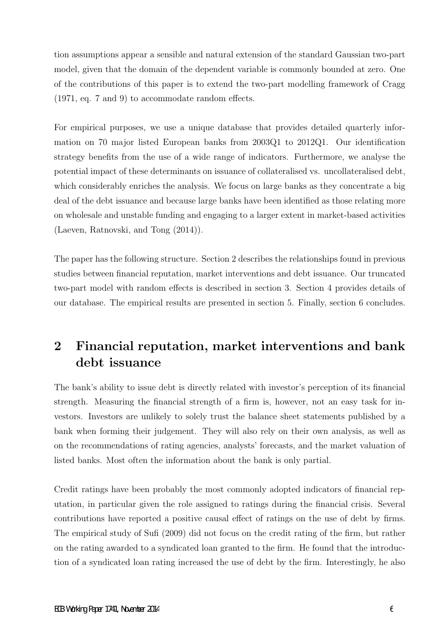tion assumptions appear a sensible and natural extension of the standard Gaussian two-part model, given that the domain of the dependent variable is commonly bounded at zero. One of the contributions of this paper is to extend the two-part modelling framework of Cragg (1971, eq. 7 and 9) to accommodate random effects.

For empirical purposes, we use a unique database that provides detailed quarterly information on 70 major listed European banks from 2003Q1 to 2012Q1. Our identification strategy benefits from the use of a wide range of indicators. Furthermore, we analyse the potential impact of these determinants on issuance of collateralised vs. uncollateralised debt, which considerably enriches the analysis. We focus on large banks as they concentrate a big deal of the debt issuance and because large banks have been identified as those relating more on wholesale and unstable funding and engaging to a larger extent in market-based activities (Laeven, Ratnovski, and Tong (2014)).

The paper has the following structure. Section 2 describes the relationships found in previous studies between financial reputation, market interventions and debt issuance. Our truncated two-part model with random effects is described in section 3. Section 4 provides details of our database. The empirical results are presented in section 5. Finally, section 6 concludes.

# 2 Financial reputation, market interventions and bank debt issuance

The bank's ability to issue debt is directly related with investor's perception of its financial strength. Measuring the financial strength of a firm is, however, not an easy task for investors. Investors are unlikely to solely trust the balance sheet statements published by a bank when forming their judgement. They will also rely on their own analysis, as well as on the recommendations of rating agencies, analysts' forecasts, and the market valuation of listed banks. Most often the information about the bank is only partial.

Credit ratings have been probably the most commonly adopted indicators of financial reputation, in particular given the role assigned to ratings during the financial crisis. Several contributions have reported a positive causal effect of ratings on the use of debt by firms. The empirical study of Sufi (2009) did not focus on the credit rating of the firm, but rather on the rating awarded to a syndicated loan granted to the firm. He found that the introduction of a syndicated loan rating increased the use of debt by the firm. Interestingly, he also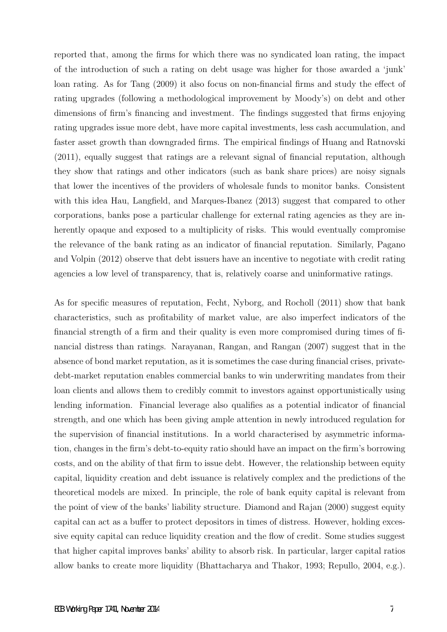reported that, among the firms for which there was no syndicated loan rating, the impact of the introduction of such a rating on debt usage was higher for those awarded a 'junk' loan rating. As for Tang (2009) it also focus on non-financial firms and study the effect of rating upgrades (following a methodological improvement by Moody's) on debt and other dimensions of firm's financing and investment. The findings suggested that firms enjoying rating upgrades issue more debt, have more capital investments, less cash accumulation, and faster asset growth than downgraded firms. The empirical findings of Huang and Ratnovski (2011), equally suggest that ratings are a relevant signal of financial reputation, although they show that ratings and other indicators (such as bank share prices) are noisy signals that lower the incentives of the providers of wholesale funds to monitor banks. Consistent with this idea Hau, Langfield, and Marques-Ibanez (2013) suggest that compared to other corporations, banks pose a particular challenge for external rating agencies as they are inherently opaque and exposed to a multiplicity of risks. This would eventually compromise the relevance of the bank rating as an indicator of financial reputation. Similarly, Pagano and Volpin (2012) observe that debt issuers have an incentive to negotiate with credit rating agencies a low level of transparency, that is, relatively coarse and uninformative ratings.

As for specific measures of reputation, Fecht, Nyborg, and Rocholl (2011) show that bank characteristics, such as profitability of market value, are also imperfect indicators of the financial strength of a firm and their quality is even more compromised during times of financial distress than ratings. Narayanan, Rangan, and Rangan (2007) suggest that in the absence of bond market reputation, as it is sometimes the case during financial crises, privatedebt-market reputation enables commercial banks to win underwriting mandates from their loan clients and allows them to credibly commit to investors against opportunistically using lending information. Financial leverage also qualifies as a potential indicator of financial strength, and one which has been giving ample attention in newly introduced regulation for the supervision of financial institutions. In a world characterised by asymmetric information, changes in the firm's debt-to-equity ratio should have an impact on the firm's borrowing costs, and on the ability of that firm to issue debt. However, the relationship between equity capital, liquidity creation and debt issuance is relatively complex and the predictions of the theoretical models are mixed. In principle, the role of bank equity capital is relevant from the point of view of the banks' liability structure. Diamond and Rajan (2000) suggest equity capital can act as a buffer to protect depositors in times of distress. However, holding excessive equity capital can reduce liquidity creation and the flow of credit. Some studies suggest that higher capital improves banks' ability to absorb risk. In particular, larger capital ratios allow banks to create more liquidity (Bhattacharya and Thakor, 1993; Repullo, 2004, e.g.).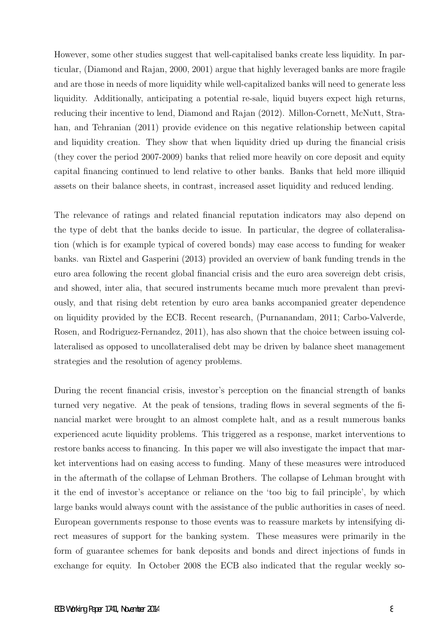However, some other studies suggest that well-capitalised banks create less liquidity. In particular, (Diamond and Rajan, 2000, 2001) argue that highly leveraged banks are more fragile and are those in needs of more liquidity while well-capitalized banks will need to generate less liquidity. Additionally, anticipating a potential re-sale, liquid buyers expect high returns, reducing their incentive to lend, Diamond and Rajan (2012). Millon-Cornett, McNutt, Strahan, and Tehranian (2011) provide evidence on this negative relationship between capital and liquidity creation. They show that when liquidity dried up during the financial crisis (they cover the period 2007-2009) banks that relied more heavily on core deposit and equity capital financing continued to lend relative to other banks. Banks that held more illiquid assets on their balance sheets, in contrast, increased asset liquidity and reduced lending.

The relevance of ratings and related financial reputation indicators may also depend on the type of debt that the banks decide to issue. In particular, the degree of collateralisation (which is for example typical of covered bonds) may ease access to funding for weaker banks. van Rixtel and Gasperini (2013) provided an overview of bank funding trends in the euro area following the recent global financial crisis and the euro area sovereign debt crisis, and showed, inter alia, that secured instruments became much more prevalent than previously, and that rising debt retention by euro area banks accompanied greater dependence on liquidity provided by the ECB. Recent research, (Purnanandam, 2011; Carbo-Valverde, Rosen, and Rodriguez-Fernandez, 2011), has also shown that the choice between issuing collateralised as opposed to uncollateralised debt may be driven by balance sheet management strategies and the resolution of agency problems.

During the recent financial crisis, investor's perception on the financial strength of banks turned very negative. At the peak of tensions, trading flows in several segments of the financial market were brought to an almost complete halt, and as a result numerous banks experienced acute liquidity problems. This triggered as a response, market interventions to restore banks access to financing. In this paper we will also investigate the impact that market interventions had on easing access to funding. Many of these measures were introduced in the aftermath of the collapse of Lehman Brothers. The collapse of Lehman brought with it the end of investor's acceptance or reliance on the 'too big to fail principle', by which large banks would always count with the assistance of the public authorities in cases of need. European governments response to those events was to reassure markets by intensifying direct measures of support for the banking system. These measures were primarily in the form of guarantee schemes for bank deposits and bonds and direct injections of funds in exchange for equity. In October 2008 the ECB also indicated that the regular weekly so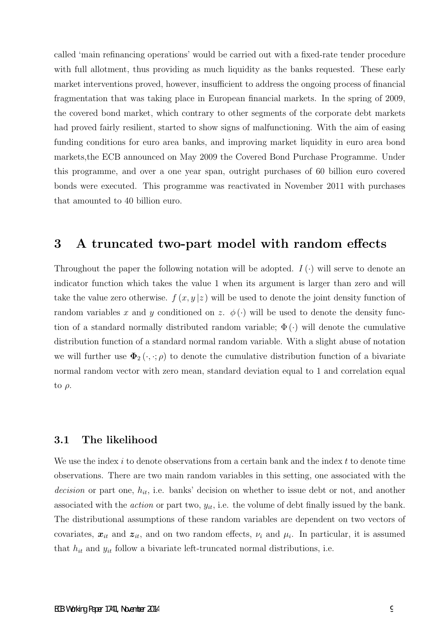called 'main refinancing operations' would be carried out with a fixed-rate tender procedure with full allotment, thus providing as much liquidity as the banks requested. These early market interventions proved, however, insufficient to address the ongoing process of financial fragmentation that was taking place in European financial markets. In the spring of 2009, the covered bond market, which contrary to other segments of the corporate debt markets had proved fairly resilient, started to show signs of malfunctioning. With the aim of easing funding conditions for euro area banks, and improving market liquidity in euro area bond markets,the ECB announced on May 2009 the Covered Bond Purchase Programme. Under this programme, and over a one year span, outright purchases of 60 billion euro covered bonds were executed. This programme was reactivated in November 2011 with purchases that amounted to 40 billion euro.

# 3 A truncated two-part model with random effects

Throughout the paper the following notation will be adopted.  $I(\cdot)$  will serve to denote an indicator function which takes the value 1 when its argument is larger than zero and will take the value zero otherwise.  $f(x, y|z)$  will be used to denote the joint density function of random variables x and y conditioned on z.  $\phi(\cdot)$  will be used to denote the density function of a standard normally distributed random variable;  $\Phi(\cdot)$  will denote the cumulative distribution function of a standard normal random variable. With a slight abuse of notation we will further use  $\Phi_2(\cdot, \cdot; \rho)$  to denote the cumulative distribution function of a bivariate normal random vector with zero mean, standard deviation equal to 1 and correlation equal to  $\rho$ .

#### 3.1 The likelihood

We use the index i to denote observations from a certain bank and the index  $t$  to denote time observations. There are two main random variables in this setting, one associated with the decision or part one,  $h_{it}$ , i.e. banks' decision on whether to issue debt or not, and another associated with the *action* or part two,  $y_{it}$ , i.e. the volume of debt finally issued by the bank. The distributional assumptions of these random variables are dependent on two vectors of covariates,  $x_{it}$  and  $z_{it}$ , and on two random effects,  $\nu_i$  and  $\mu_i$ . In particular, it is assumed that  $h_{it}$  and  $y_{it}$  follow a bivariate left-truncated normal distributions, i.e.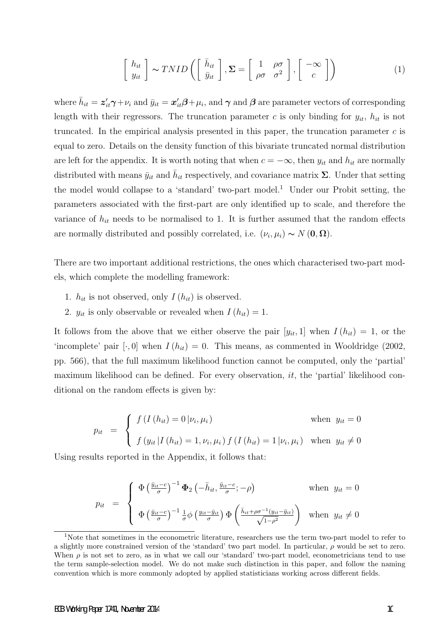$$
\begin{bmatrix} h_{it} \\ y_{it} \end{bmatrix} \sim TNID \left( \begin{bmatrix} \bar{h}_{it} \\ \bar{y}_{it} \end{bmatrix}, \Sigma = \begin{bmatrix} 1 & \rho \sigma \\ \rho \sigma & \sigma^2 \end{bmatrix}, \begin{bmatrix} -\infty \\ c \end{bmatrix} \right)
$$
 (1)

where  $\bar{h}_{it} = z'_{it}\gamma + \nu_i$  and  $\bar{y}_{it} = x'_{it}\beta + \mu_i$ , and  $\gamma$  and  $\beta$  are parameter vectors of corresponding length with their regressors. The truncation parameter c is only binding for  $y_{it}$ ,  $h_{it}$  is not truncated. In the empirical analysis presented in this paper, the truncation parameter  $c$  is equal to zero. Details on the density function of this bivariate truncated normal distribution are left for the appendix. It is worth noting that when  $c = -\infty$ , then  $y_{it}$  and  $h_{it}$  are normally distributed with means  $\bar{y}_{it}$  and  $\bar{h}_{it}$  respectively, and covariance matrix  $\Sigma$ . Under that setting the model would collapse to a 'standard' two-part model.<sup>1</sup> Under our Probit setting, the parameters associated with the first-part are only identified up to scale, and therefore the variance of  $h_{it}$  needs to be normalised to 1. It is further assumed that the random effects are normally distributed and possibly correlated, i.e.  $(\nu_i, \mu_i) \sim N(\mathbf{0}, \mathbf{\Omega})$ .

There are two important additional restrictions, the ones which characterised two-part models, which complete the modelling framework:

- 1.  $h_{it}$  is not observed, only  $I(h_{it})$  is observed.
- 2.  $y_{it}$  is only observable or revealed when  $I(h_{it}) = 1$ .

It follows from the above that we either observe the pair  $[y_{it}, 1]$  when  $I(h_{it}) = 1$ , or the 'incomplete' pair  $[\cdot, 0]$  when  $I(h_{it}) = 0$ . This means, as commented in Wooldridge (2002, pp. 566), that the full maximum likelihood function cannot be computed, only the 'partial' maximum likelihood can be defined. For every observation,  $it$ , the 'partial' likelihood conditional on the random effects is given by:

$$
p_{it} = \begin{cases} f(I(h_{it}) = 0 | \nu_i, \mu_i) & \text{when } y_{it} = 0 \\ f(y_{it} | I(h_{it}) = 1, \nu_i, \mu_i) f(I(h_{it}) = 1 | \nu_i, \mu_i) & \text{when } y_{it} \neq 0 \end{cases}
$$

Using results reported in the Appendix, it follows that:

$$
p_{it} = \begin{cases} \Phi\left(\frac{\bar{y}_{it}-c}{\sigma}\right)^{-1} \Phi_{2}\left(-\bar{h}_{it}, \frac{\bar{y}_{it}-c}{\sigma}; -\rho\right) & \text{when } y_{it} = 0\\ \Phi\left(\frac{\bar{y}_{it}-c}{\sigma}\right)^{-1} \frac{1}{\sigma} \phi\left(\frac{y_{it}-\bar{y}_{it}}{\sigma}\right) \Phi\left(\frac{\bar{h}_{it} + \rho \sigma^{-1}(y_{it}-\bar{y}_{it})}{\sqrt{1-\rho^{2}}}\right) & \text{when } y_{it} \neq 0 \end{cases}
$$

<sup>&</sup>lt;sup>1</sup>Note that sometimes in the econometric literature, researchers use the term two-part model to refer to a slightly more constrained version of the 'standard' two part model. In particular,  $\rho$  would be set to zero. When  $\rho$  is not set to zero, as in what we call our 'standard' two-part model, econometricians tend to use the term sample-selection model. We do not make such distinction in this paper, and follow the naming convention which is more commonly adopted by applied statisticians working across different fields.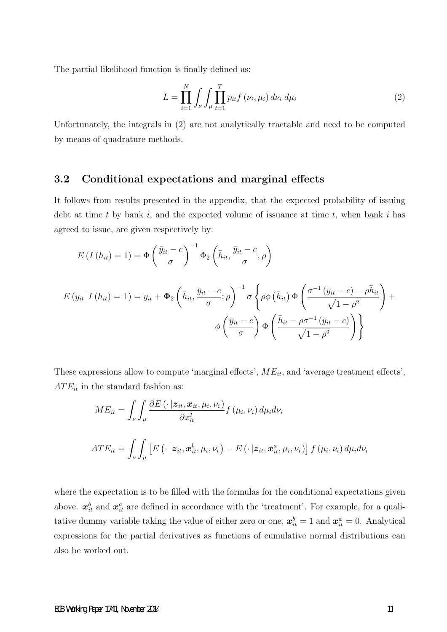The partial likelihood function is finally defined as:

$$
L = \prod_{i=1}^{N} \int_{\nu} \int_{\mu} \prod_{t=1}^{T} p_{it} f(\nu_i, \mu_i) d\nu_i d\mu_i
$$
 (2)

Unfortunately, the integrals in (2) are not analytically tractable and need to be computed by means of quadrature methods.

#### 3.2 Conditional expectations and marginal effects

It follows from results presented in the appendix, that the expected probability of issuing debt at time t by bank  $i$ , and the expected volume of issuance at time  $t$ , when bank  $i$  has agreed to issue, are given respectively by:

$$
E(I(h_{it}) = 1) = \Phi\left(\frac{\bar{y}_{it} - c}{\sigma}\right)^{-1} \Phi_{2}\left(\bar{h}_{it}, \frac{\bar{y}_{it} - c}{\sigma}, \rho\right)
$$
  

$$
E(y_{it} | I(h_{it}) = 1) = y_{it} + \Phi_{2}\left(\bar{h}_{it}, \frac{\bar{y}_{it} - c}{\sigma}; \rho\right)^{-1} \sigma\left\{\rho\phi\left(\bar{h}_{it}\right) \Phi\left(\frac{\sigma^{-1}\left(\bar{y}_{it} - c\right) - \rho\bar{h}_{it}}{\sqrt{1 - \rho^{2}}}\right) + \phi\left(\frac{\bar{y}_{it} - c}{\sigma}\right) \Phi\left(\frac{\bar{y}_{it} - c}{\sqrt{1 - \rho^{2}}}\right)\right\}
$$

These expressions allow to compute 'marginal effects',  $ME_{it}$ , and 'average treatment effects',  $ATE_{it}$  in the standard fashion as:

$$
ME_{it} = \int_{\nu} \int_{\mu} \frac{\partial E\left(\cdot \mid \mathbf{z}_{it}, \mathbf{x}_{it}, \mu_{i}, \nu_{i}\right)}{\partial x_{it}^{j}} f\left(\mu_{i}, \nu_{i}\right) d\mu_{i} d\nu_{i}
$$
  
ATE<sub>it</sub> = 
$$
\int_{\nu} \int_{\mu} \left[E\left(\cdot \mid \mathbf{z}_{it}, \mathbf{x}_{it}^{b}, \mu_{i}, \nu_{i}\right) - E\left(\cdot \mid \mathbf{z}_{it}, \mathbf{x}_{it}^{a}, \mu_{i}, \nu_{i}\right)\right] f\left(\mu_{i}, \nu_{i}\right) d\mu_{i} d\nu_{i}
$$

where the expectation is to be filled with the formulas for the conditional expectations given above.  $x_{it}^b$  and  $x_{it}^a$  are defined in accordance with the 'treatment'. For example, for a qualitative dummy variable taking the value of either zero or one,  $\mathbf{x}_{it}^{b} = 1$  and  $\mathbf{x}_{it}^{a} = 0$ . Analytical expressions for the partial derivatives as functions of cumulative normal distributions can also be worked out.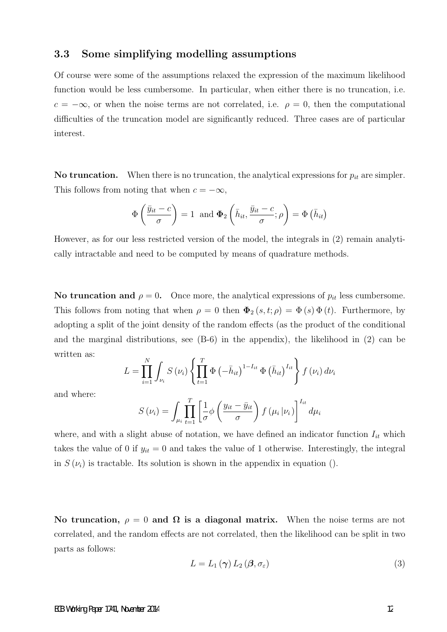### 3.3 Some simplifying modelling assumptions

Of course were some of the assumptions relaxed the expression of the maximum likelihood function would be less cumbersome. In particular, when either there is no truncation, i.e.  $c = -\infty$ , or when the noise terms are not correlated, i.e.  $\rho = 0$ , then the computational difficulties of the truncation model are significantly reduced. Three cases are of particular interest.

No truncation. When there is no truncation, the analytical expressions for  $p_{it}$  are simpler. This follows from noting that when  $c = -\infty$ ,

$$
\Phi\left(\frac{\bar{y}_{it} - c}{\sigma}\right) = 1 \text{ and } \Phi_2\left(\bar{h}_{it}, \frac{\bar{y}_{it} - c}{\sigma}; \rho\right) = \Phi\left(\bar{h}_{it}\right)
$$

However, as for our less restricted version of the model, the integrals in (2) remain analytically intractable and need to be computed by means of quadrature methods.

No truncation and  $\rho = 0$ . Once more, the analytical expressions of  $p_{it}$  less cumbersome. This follows from noting that when  $\rho = 0$  then  $\Phi_2(s, t; \rho) = \Phi(s) \Phi(t)$ . Furthermore, by adopting a split of the joint density of the random effects (as the product of the conditional and the marginal distributions, see (B-6) in the appendix), the likelihood in (2) can be written as:

$$
L = \prod_{i=1}^{N} \int_{\nu_{i}} S(\nu_{i}) \left\{ \prod_{t=1}^{T} \Phi(-\bar{h}_{it})^{1-I_{it}} \Phi(\bar{h}_{it})^{I_{it}} \right\} f(\nu_{i}) d\nu_{i}
$$

and where:

$$
S(\nu_i) = \int_{\mu_i} \prod_{t=1}^T \left[ \frac{1}{\sigma} \phi \left( \frac{y_{it} - \bar{y}_{it}}{\sigma} \right) f(\mu_i | \nu_i) \right]^{I_{it}} d\mu_i
$$

where, and with a slight abuse of notation, we have defined an indicator function  $I_{it}$  which takes the value of 0 if  $y_{it} = 0$  and takes the value of 1 otherwise. Interestingly, the integral in  $S(\nu_i)$  is tractable. Its solution is shown in the appendix in equation ().

No truncation,  $\rho = 0$  and  $\Omega$  is a diagonal matrix. When the noise terms are not correlated, and the random effects are not correlated, then the likelihood can be split in two parts as follows:

$$
L = L_1(\gamma) L_2(\beta, \sigma_{\varepsilon})
$$
\n<sup>(3)</sup>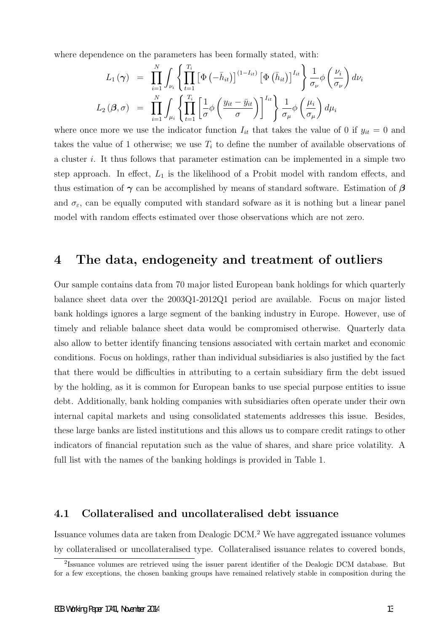where dependence on the parameters has been formally stated, with:

$$
L_1(\gamma) = \prod_{i=1}^N \int_{\nu_i} \left\{ \prod_{t=1}^{T_i} \left[ \Phi\left(-\bar{h}_{it}\right) \right]^{(1-I_{it})} \left[ \Phi\left(\bar{h}_{it}\right) \right]^{I_{it}} \right\} \frac{1}{\sigma_{\nu}} \phi\left(\frac{\nu_i}{\sigma_{\nu}}\right) d\nu_i
$$
  

$$
L_2(\beta, \sigma) = \prod_{i=1}^N \int_{\mu_i} \left\{ \prod_{t=1}^{T_i} \left[ \frac{1}{\sigma} \phi\left(\frac{y_{it} - \bar{y}_{it}}{\sigma}\right) \right]^{I_{it}} \right\} \frac{1}{\sigma_{\mu}} \phi\left(\frac{\mu_i}{\sigma_{\mu}}\right) d\mu_i
$$

where once more we use the indicator function  $I_{it}$  that takes the value of 0 if  $y_{it} = 0$  and takes the value of 1 otherwise; we use  $T_i$  to define the number of available observations of a cluster i. It thus follows that parameter estimation can be implemented in a simple two step approach. In effect,  $L_1$  is the likelihood of a Probit model with random effects, and thus estimation of  $\gamma$  can be accomplished by means of standard software. Estimation of  $\beta$ and  $\sigma_{\varepsilon}$ , can be equally computed with standard sofware as it is nothing but a linear panel model with random effects estimated over those observations which are not zero.

### 4 The data, endogeneity and treatment of outliers

Our sample contains data from 70 major listed European bank holdings for which quarterly balance sheet data over the 2003Q1-2012Q1 period are available. Focus on major listed bank holdings ignores a large segment of the banking industry in Europe. However, use of timely and reliable balance sheet data would be compromised otherwise. Quarterly data also allow to better identify financing tensions associated with certain market and economic conditions. Focus on holdings, rather than individual subsidiaries is also justified by the fact that there would be difficulties in attributing to a certain subsidiary firm the debt issued by the holding, as it is common for European banks to use special purpose entities to issue debt. Additionally, bank holding companies with subsidiaries often operate under their own internal capital markets and using consolidated statements addresses this issue. Besides, these large banks are listed institutions and this allows us to compare credit ratings to other indicators of financial reputation such as the value of shares, and share price volatility. A full list with the names of the banking holdings is provided in Table 1.

### 4.1 Collateralised and uncollateralised debt issuance

Issuance volumes data are taken from Dealogic DCM.<sup>2</sup> We have aggregated issuance volumes by collateralised or uncollateralised type. Collateralised issuance relates to covered bonds,

<sup>&</sup>lt;sup>2</sup>Issuance volumes are retrieved using the issuer parent identifier of the Dealogic DCM database. But for a few exceptions, the chosen banking groups have remained relatively stable in composition during the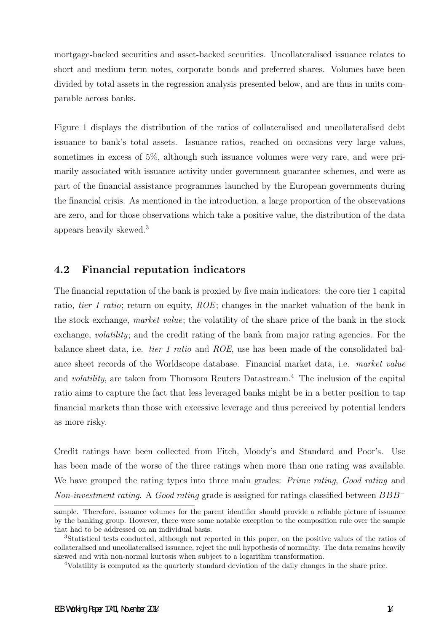mortgage-backed securities and asset-backed securities. Uncollateralised issuance relates to short and medium term notes, corporate bonds and preferred shares. Volumes have been divided by total assets in the regression analysis presented below, and are thus in units comparable across banks.

Figure 1 displays the distribution of the ratios of collateralised and uncollateralised debt issuance to bank's total assets. Issuance ratios, reached on occasions very large values, sometimes in excess of 5%, although such issuance volumes were very rare, and were primarily associated with issuance activity under government guarantee schemes, and were as part of the financial assistance programmes launched by the European governments during the financial crisis. As mentioned in the introduction, a large proportion of the observations are zero, and for those observations which take a positive value, the distribution of the data appears heavily skewed.<sup>3</sup>

### 4.2 Financial reputation indicators

The financial reputation of the bank is proxied by five main indicators: the core tier 1 capital ratio, tier 1 ratio; return on equity, ROE; changes in the market valuation of the bank in the stock exchange, market value; the volatility of the share price of the bank in the stock exchange, volatility; and the credit rating of the bank from major rating agencies. For the balance sheet data, i.e. tier 1 ratio and ROE, use has been made of the consolidated balance sheet records of the Worldscope database. Financial market data, i.e. market value and *volatility*, are taken from Thomsom Reuters Datastream.<sup>4</sup> The inclusion of the capital ratio aims to capture the fact that less leveraged banks might be in a better position to tap financial markets than those with excessive leverage and thus perceived by potential lenders as more risky.

Credit ratings have been collected from Fitch, Moody's and Standard and Poor's. Use has been made of the worse of the three ratings when more than one rating was available. We have grouped the rating types into three main grades: *Prime rating, Good rating* and Non-investment rating. A Good rating grade is assigned for ratings classified between  $BBB^-$ 

sample. Therefore, issuance volumes for the parent identifier should provide a reliable picture of issuance by the banking group. However, there were some notable exception to the composition rule over the sample that had to be addressed on an individual basis.

<sup>3</sup>Statistical tests conducted, although not reported in this paper, on the positive values of the ratios of collateralised and uncollateralised issuance, reject the null hypothesis of normality. The data remains heavily skewed and with non-normal kurtosis when subject to a logarithm transformation.

<sup>4</sup>Volatility is computed as the quarterly standard deviation of the daily changes in the share price.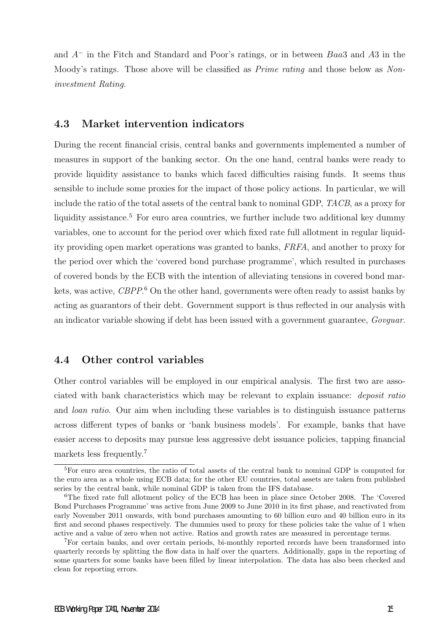and A<sup>−</sup> in the Fitch and Standard and Poor's ratings, or in between Baa3 and A3 in the Moody's ratings. Those above will be classified as *Prime rating* and those below as *Non*investment Rating.

### 4.3 Market intervention indicators

During the recent financial crisis, central banks and governments implemented a number of measures in support of the banking sector. On the one hand, central banks were ready to provide liquidity assistance to banks which faced difficulties raising funds. It seems thus sensible to include some proxies for the impact of those policy actions. In particular, we will include the ratio of the total assets of the central bank to nominal GDP, TACB, as a proxy for liquidity assistance.<sup>5</sup> For euro area countries, we further include two additional key dummy variables, one to account for the period over which fixed rate full allotment in regular liquidity providing open market operations was granted to banks, FRFA, and another to proxy for the period over which the 'covered bond purchase programme', which resulted in purchases of covered bonds by the ECB with the intention of alleviating tensions in covered bond markets, was active, CBPP.<sup>6</sup> On the other hand, governments were often ready to assist banks by acting as guarantors of their debt. Government support is thus reflected in our analysis with an indicator variable showing if debt has been issued with a government guarantee, Govguar.

### 4.4 Other control variables

Other control variables will be employed in our empirical analysis. The first two are associated with bank characteristics which may be relevant to explain issuance: deposit ratio and loan ratio. Our aim when including these variables is to distinguish issuance patterns across different types of banks or 'bank business models'. For example, banks that have easier access to deposits may pursue less aggressive debt issuance policies, tapping financial markets less frequently.<sup>7</sup>

<sup>&</sup>lt;sup>5</sup>For euro area countries, the ratio of total assets of the central bank to nominal GDP is computed for the euro area as a whole using ECB data; for the other EU countries, total assets are taken from published series by the central bank, while nominal GDP is taken from the IFS database.

<sup>6</sup>The fixed rate full allotment policy of the ECB has been in place since October 2008. The 'Covered Bond Purchases Programme' was active from June 2009 to June 2010 in its first phase, and reactivated from early November 2011 onwards, with bond purchases amounting to 60 billion euro and 40 billion euro in its first and second phases respectively. The dummies used to proxy for these policies take the value of 1 when active and a value of zero when not active. Ratios and growth rates are measured in percentage terms.

<sup>7</sup>For certain banks, and over certain periods, bi-monthly reported records have been transformed into quarterly records by splitting the flow data in half over the quarters. Additionally, gaps in the reporting of some quarters for some banks have been filled by linear interpolation. The data has also been checked and clean for reporting errors.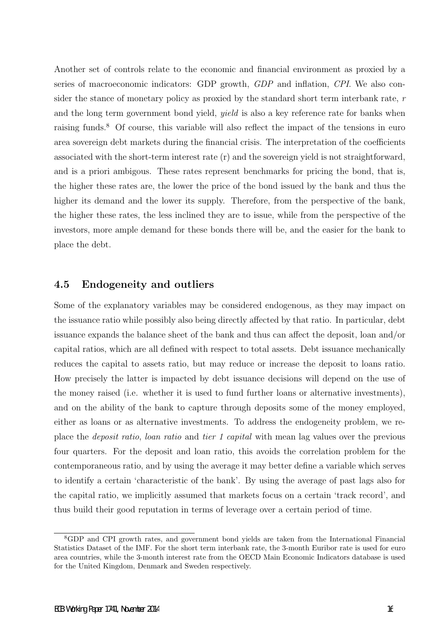Another set of controls relate to the economic and financial environment as proxied by a series of macroeconomic indicators: GDP growth, GDP and inflation, CPI. We also consider the stance of monetary policy as proxied by the standard short term interbank rate, r and the long term government bond yield, yield is also a key reference rate for banks when raising funds.<sup>8</sup> Of course, this variable will also reflect the impact of the tensions in euro area sovereign debt markets during the financial crisis. The interpretation of the coefficients associated with the short-term interest rate (r) and the sovereign yield is not straightforward, and is a priori ambigous. These rates represent benchmarks for pricing the bond, that is, the higher these rates are, the lower the price of the bond issued by the bank and thus the higher its demand and the lower its supply. Therefore, from the perspective of the bank, the higher these rates, the less inclined they are to issue, while from the perspective of the investors, more ample demand for these bonds there will be, and the easier for the bank to place the debt.

### 4.5 Endogeneity and outliers

Some of the explanatory variables may be considered endogenous, as they may impact on the issuance ratio while possibly also being directly affected by that ratio. In particular, debt issuance expands the balance sheet of the bank and thus can affect the deposit, loan and/or capital ratios, which are all defined with respect to total assets. Debt issuance mechanically reduces the capital to assets ratio, but may reduce or increase the deposit to loans ratio. How precisely the latter is impacted by debt issuance decisions will depend on the use of the money raised (i.e. whether it is used to fund further loans or alternative investments), and on the ability of the bank to capture through deposits some of the money employed, either as loans or as alternative investments. To address the endogeneity problem, we replace the deposit ratio, loan ratio and tier 1 capital with mean lag values over the previous four quarters. For the deposit and loan ratio, this avoids the correlation problem for the contemporaneous ratio, and by using the average it may better define a variable which serves to identify a certain 'characteristic of the bank'. By using the average of past lags also for the capital ratio, we implicitly assumed that markets focus on a certain 'track record', and thus build their good reputation in terms of leverage over a certain period of time.

<sup>8</sup>GDP and CPI growth rates, and government bond yields are taken from the International Financial Statistics Dataset of the IMF. For the short term interbank rate, the 3-month Euribor rate is used for euro area countries, while the 3-month interest rate from the OECD Main Economic Indicators database is used for the United Kingdom, Denmark and Sweden respectively.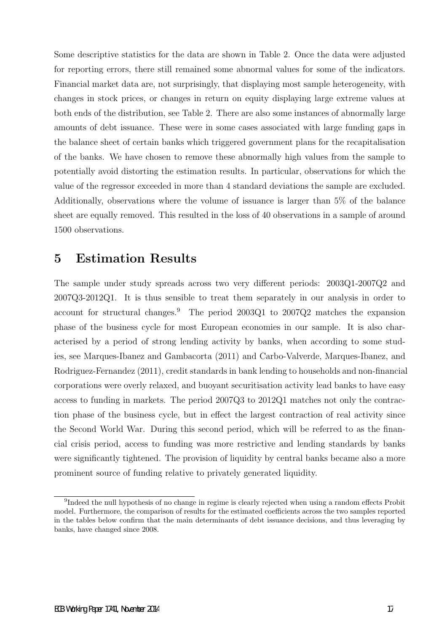Some descriptive statistics for the data are shown in Table 2. Once the data were adjusted for reporting errors, there still remained some abnormal values for some of the indicators. Financial market data are, not surprisingly, that displaying most sample heterogeneity, with changes in stock prices, or changes in return on equity displaying large extreme values at both ends of the distribution, see Table 2. There are also some instances of abnormally large amounts of debt issuance. These were in some cases associated with large funding gaps in the balance sheet of certain banks which triggered government plans for the recapitalisation of the banks. We have chosen to remove these abnormally high values from the sample to potentially avoid distorting the estimation results. In particular, observations for which the value of the regressor exceeded in more than 4 standard deviations the sample are excluded. Additionally, observations where the volume of issuance is larger than 5% of the balance sheet are equally removed. This resulted in the loss of 40 observations in a sample of around 1500 observations.

# 5 Estimation Results

The sample under study spreads across two very different periods: 2003Q1-2007Q2 and 2007Q3-2012Q1. It is thus sensible to treat them separately in our analysis in order to account for structural changes.<sup>9</sup> The period 2003Q1 to 2007Q2 matches the expansion phase of the business cycle for most European economies in our sample. It is also characterised by a period of strong lending activity by banks, when according to some studies, see Marques-Ibanez and Gambacorta (2011) and Carbo-Valverde, Marques-Ibanez, and Rodriguez-Fernandez (2011), credit standards in bank lending to households and non-financial corporations were overly relaxed, and buoyant securitisation activity lead banks to have easy access to funding in markets. The period 2007Q3 to 2012Q1 matches not only the contraction phase of the business cycle, but in effect the largest contraction of real activity since the Second World War. During this second period, which will be referred to as the financial crisis period, access to funding was more restrictive and lending standards by banks were significantly tightened. The provision of liquidity by central banks became also a more prominent source of funding relative to privately generated liquidity.

<sup>&</sup>lt;sup>9</sup>Indeed the null hypothesis of no change in regime is clearly rejected when using a random effects Probit model. Furthermore, the comparison of results for the estimated coefficients across the two samples reported in the tables below confirm that the main determinants of debt issuance decisions, and thus leveraging by banks, have changed since 2008.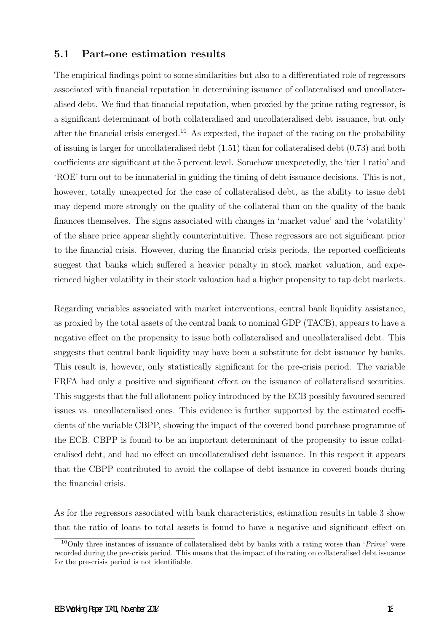### 5.1 Part-one estimation results

The empirical findings point to some similarities but also to a differentiated role of regressors associated with financial reputation in determining issuance of collateralised and uncollateralised debt. We find that financial reputation, when proxied by the prime rating regressor, is a significant determinant of both collateralised and uncollateralised debt issuance, but only after the financial crisis emerged.<sup>10</sup> As expected, the impact of the rating on the probability of issuing is larger for uncollateralised debt (1.51) than for collateralised debt (0.73) and both coefficients are significant at the 5 percent level. Somehow unexpectedly, the 'tier 1 ratio' and 'ROE' turn out to be immaterial in guiding the timing of debt issuance decisions. This is not, however, totally unexpected for the case of collateralised debt, as the ability to issue debt may depend more strongly on the quality of the collateral than on the quality of the bank finances themselves. The signs associated with changes in 'market value' and the 'volatility' of the share price appear slightly counterintuitive. These regressors are not significant prior to the financial crisis. However, during the financial crisis periods, the reported coefficients suggest that banks which suffered a heavier penalty in stock market valuation, and experienced higher volatility in their stock valuation had a higher propensity to tap debt markets.

Regarding variables associated with market interventions, central bank liquidity assistance, as proxied by the total assets of the central bank to nominal GDP (TACB), appears to have a negative effect on the propensity to issue both collateralised and uncollateralised debt. This suggests that central bank liquidity may have been a substitute for debt issuance by banks. This result is, however, only statistically significant for the pre-crisis period. The variable FRFA had only a positive and significant effect on the issuance of collateralised securities. This suggests that the full allotment policy introduced by the ECB possibly favoured secured issues vs. uncollateralised ones. This evidence is further supported by the estimated coefficients of the variable CBPP, showing the impact of the covered bond purchase programme of the ECB. CBPP is found to be an important determinant of the propensity to issue collateralised debt, and had no effect on uncollateralised debt issuance. In this respect it appears that the CBPP contributed to avoid the collapse of debt issuance in covered bonds during the financial crisis.

As for the regressors associated with bank characteristics, estimation results in table 3 show that the ratio of loans to total assets is found to have a negative and significant effect on

<sup>&</sup>lt;sup>10</sup>Only three instances of issuance of collateralised debt by banks with a rating worse than '*Prime*' were recorded during the pre-crisis period. This means that the impact of the rating on collateralised debt issuance for the pre-crisis period is not identifiable.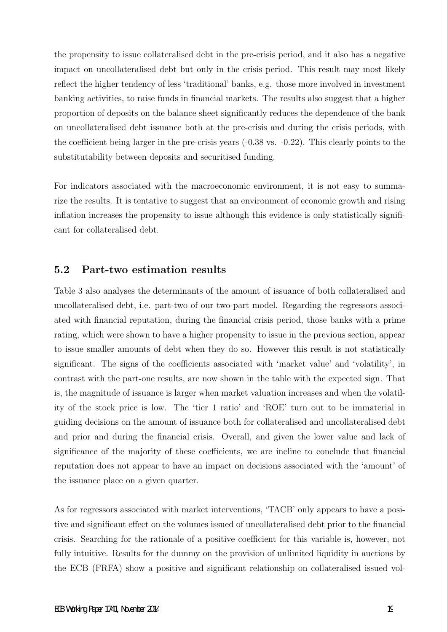the propensity to issue collateralised debt in the pre-crisis period, and it also has a negative impact on uncollateralised debt but only in the crisis period. This result may most likely reflect the higher tendency of less 'traditional' banks, e.g. those more involved in investment banking activities, to raise funds in financial markets. The results also suggest that a higher proportion of deposits on the balance sheet significantly reduces the dependence of the bank on uncollateralised debt issuance both at the pre-crisis and during the crisis periods, with the coefficient being larger in the pre-crisis years (-0.38 vs. -0.22). This clearly points to the substitutability between deposits and securitised funding.

For indicators associated with the macroeconomic environment, it is not easy to summarize the results. It is tentative to suggest that an environment of economic growth and rising inflation increases the propensity to issue although this evidence is only statistically significant for collateralised debt.

### 5.2 Part-two estimation results

Table 3 also analyses the determinants of the amount of issuance of both collateralised and uncollateralised debt, i.e. part-two of our two-part model. Regarding the regressors associated with financial reputation, during the financial crisis period, those banks with a prime rating, which were shown to have a higher propensity to issue in the previous section, appear to issue smaller amounts of debt when they do so. However this result is not statistically significant. The signs of the coefficients associated with 'market value' and 'volatility', in contrast with the part-one results, are now shown in the table with the expected sign. That is, the magnitude of issuance is larger when market valuation increases and when the volatility of the stock price is low. The 'tier 1 ratio' and 'ROE' turn out to be immaterial in guiding decisions on the amount of issuance both for collateralised and uncollateralised debt and prior and during the financial crisis. Overall, and given the lower value and lack of significance of the majority of these coefficients, we are incline to conclude that financial reputation does not appear to have an impact on decisions associated with the 'amount' of the issuance place on a given quarter.

As for regressors associated with market interventions, 'TACB' only appears to have a positive and significant effect on the volumes issued of uncollateralised debt prior to the financial crisis. Searching for the rationale of a positive coefficient for this variable is, however, not fully intuitive. Results for the dummy on the provision of unlimited liquidity in auctions by the ECB (FRFA) show a positive and significant relationship on collateralised issued vol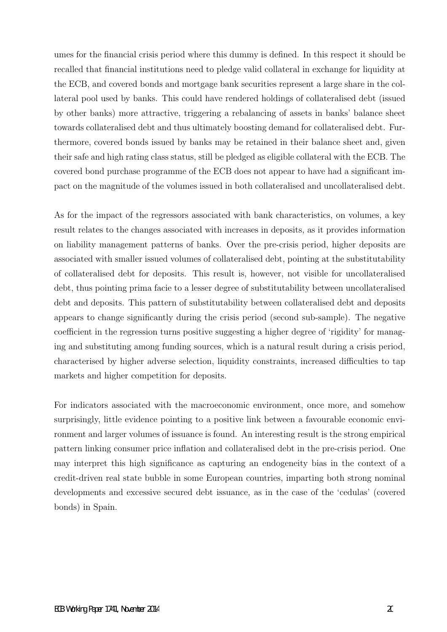umes for the financial crisis period where this dummy is defined. In this respect it should be recalled that financial institutions need to pledge valid collateral in exchange for liquidity at the ECB, and covered bonds and mortgage bank securities represent a large share in the collateral pool used by banks. This could have rendered holdings of collateralised debt (issued by other banks) more attractive, triggering a rebalancing of assets in banks' balance sheet towards collateralised debt and thus ultimately boosting demand for collateralised debt. Furthermore, covered bonds issued by banks may be retained in their balance sheet and, given their safe and high rating class status, still be pledged as eligible collateral with the ECB. The covered bond purchase programme of the ECB does not appear to have had a significant impact on the magnitude of the volumes issued in both collateralised and uncollateralised debt.

As for the impact of the regressors associated with bank characteristics, on volumes, a key result relates to the changes associated with increases in deposits, as it provides information on liability management patterns of banks. Over the pre-crisis period, higher deposits are associated with smaller issued volumes of collateralised debt, pointing at the substitutability of collateralised debt for deposits. This result is, however, not visible for uncollateralised debt, thus pointing prima facie to a lesser degree of substitutability between uncollateralised debt and deposits. This pattern of substitutability between collateralised debt and deposits appears to change significantly during the crisis period (second sub-sample). The negative coefficient in the regression turns positive suggesting a higher degree of 'rigidity' for managing and substituting among funding sources, which is a natural result during a crisis period, characterised by higher adverse selection, liquidity constraints, increased difficulties to tap markets and higher competition for deposits.

For indicators associated with the macroeconomic environment, once more, and somehow surprisingly, little evidence pointing to a positive link between a favourable economic environment and larger volumes of issuance is found. An interesting result is the strong empirical pattern linking consumer price inflation and collateralised debt in the pre-crisis period. One may interpret this high significance as capturing an endogeneity bias in the context of a credit-driven real state bubble in some European countries, imparting both strong nominal developments and excessive secured debt issuance, as in the case of the 'cedulas' (covered bonds) in Spain.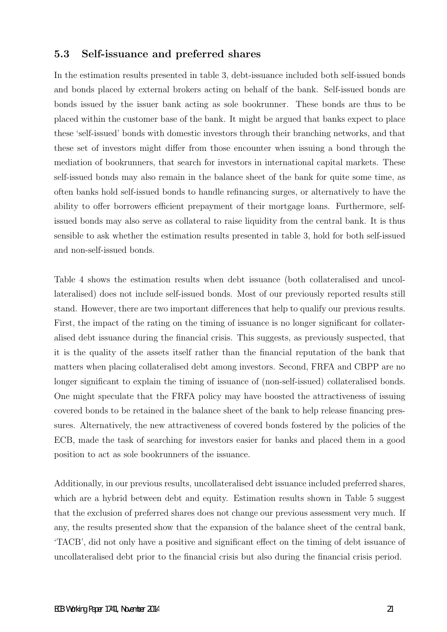### 5.3 Self-issuance and preferred shares

In the estimation results presented in table 3, debt-issuance included both self-issued bonds and bonds placed by external brokers acting on behalf of the bank. Self-issued bonds are bonds issued by the issuer bank acting as sole bookrunner. These bonds are thus to be placed within the customer base of the bank. It might be argued that banks expect to place these 'self-issued' bonds with domestic investors through their branching networks, and that these set of investors might differ from those encounter when issuing a bond through the mediation of bookrunners, that search for investors in international capital markets. These self-issued bonds may also remain in the balance sheet of the bank for quite some time, as often banks hold self-issued bonds to handle refinancing surges, or alternatively to have the ability to offer borrowers efficient prepayment of their mortgage loans. Furthermore, selfissued bonds may also serve as collateral to raise liquidity from the central bank. It is thus sensible to ask whether the estimation results presented in table 3, hold for both self-issued and non-self-issued bonds.

Table 4 shows the estimation results when debt issuance (both collateralised and uncollateralised) does not include self-issued bonds. Most of our previously reported results still stand. However, there are two important differences that help to qualify our previous results. First, the impact of the rating on the timing of issuance is no longer significant for collateralised debt issuance during the financial crisis. This suggests, as previously suspected, that it is the quality of the assets itself rather than the financial reputation of the bank that matters when placing collateralised debt among investors. Second, FRFA and CBPP are no longer significant to explain the timing of issuance of (non-self-issued) collateralised bonds. One might speculate that the FRFA policy may have boosted the attractiveness of issuing covered bonds to be retained in the balance sheet of the bank to help release financing pressures. Alternatively, the new attractiveness of covered bonds fostered by the policies of the ECB, made the task of searching for investors easier for banks and placed them in a good position to act as sole bookrunners of the issuance.

Additionally, in our previous results, uncollateralised debt issuance included preferred shares, which are a hybrid between debt and equity. Estimation results shown in Table 5 suggest that the exclusion of preferred shares does not change our previous assessment very much. If any, the results presented show that the expansion of the balance sheet of the central bank, 'TACB', did not only have a positive and significant effect on the timing of debt issuance of uncollateralised debt prior to the financial crisis but also during the financial crisis period.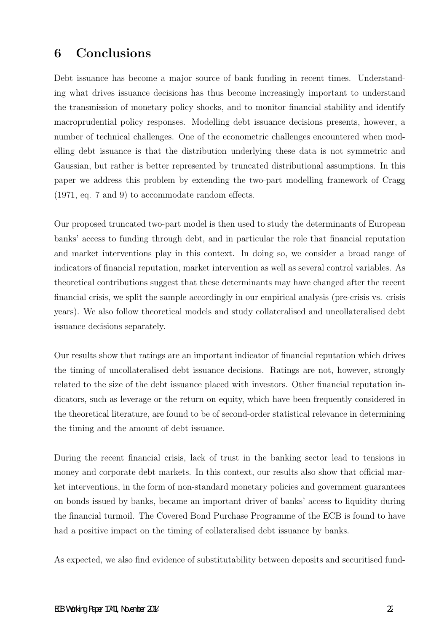# 6 Conclusions

Debt issuance has become a major source of bank funding in recent times. Understanding what drives issuance decisions has thus become increasingly important to understand the transmission of monetary policy shocks, and to monitor financial stability and identify macroprudential policy responses. Modelling debt issuance decisions presents, however, a number of technical challenges. One of the econometric challenges encountered when modelling debt issuance is that the distribution underlying these data is not symmetric and Gaussian, but rather is better represented by truncated distributional assumptions. In this paper we address this problem by extending the two-part modelling framework of Cragg (1971, eq. 7 and 9) to accommodate random effects.

Our proposed truncated two-part model is then used to study the determinants of European banks' access to funding through debt, and in particular the role that financial reputation and market interventions play in this context. In doing so, we consider a broad range of indicators of financial reputation, market intervention as well as several control variables. As theoretical contributions suggest that these determinants may have changed after the recent financial crisis, we split the sample accordingly in our empirical analysis (pre-crisis vs. crisis years). We also follow theoretical models and study collateralised and uncollateralised debt issuance decisions separately.

Our results show that ratings are an important indicator of financial reputation which drives the timing of uncollateralised debt issuance decisions. Ratings are not, however, strongly related to the size of the debt issuance placed with investors. Other financial reputation indicators, such as leverage or the return on equity, which have been frequently considered in the theoretical literature, are found to be of second-order statistical relevance in determining the timing and the amount of debt issuance.

During the recent financial crisis, lack of trust in the banking sector lead to tensions in money and corporate debt markets. In this context, our results also show that official market interventions, in the form of non-standard monetary policies and government guarantees on bonds issued by banks, became an important driver of banks' access to liquidity during the financial turmoil. The Covered Bond Purchase Programme of the ECB is found to have had a positive impact on the timing of collateralised debt issuance by banks.

As expected, we also find evidence of substitutability between deposits and securitised fund-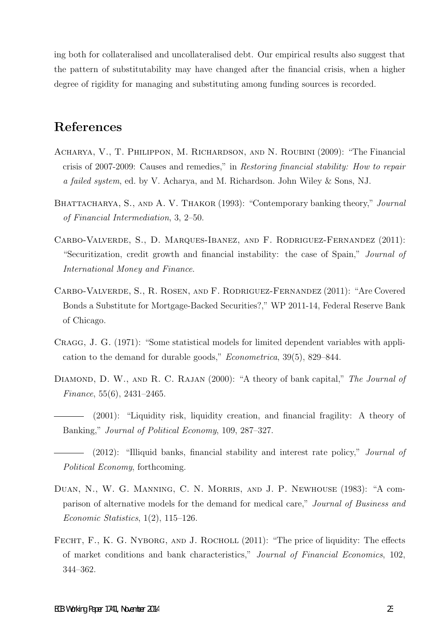ing both for collateralised and uncollateralised debt. Our empirical results also suggest that the pattern of substitutability may have changed after the financial crisis, when a higher degree of rigidity for managing and substituting among funding sources is recorded.

# References

- Acharya, V., T. Philippon, M. Richardson, and N. Roubini (2009): "The Financial crisis of 2007-2009: Causes and remedies," in Restoring financial stability: How to repair a failed system, ed. by V. Acharya, and M. Richardson. John Wiley & Sons, NJ.
- BHATTACHARYA, S., AND A. V. THAKOR (1993): "Contemporary banking theory," Journal of Financial Intermediation, 3, 2–50.
- Carbo-Valverde, S., D. Marques-Ibanez, and F. Rodriguez-Fernandez (2011): "Securitization, credit growth and financial instability: the case of Spain," Journal of International Money and Finance.
- Carbo-Valverde, S., R. Rosen, and F. Rodriguez-Fernandez (2011): "Are Covered Bonds a Substitute for Mortgage-Backed Securities?," WP 2011-14, Federal Reserve Bank of Chicago.
- Cragg, J. G. (1971): "Some statistical models for limited dependent variables with application to the demand for durable goods," Econometrica, 39(5), 829–844.
- DIAMOND, D. W., AND R. C. RAJAN (2000): "A theory of bank capital," The Journal of Finance, 55(6), 2431–2465.
	- (2001): "Liquidity risk, liquidity creation, and financial fragility: A theory of Banking," Journal of Political Economy, 109, 287–327.
	- (2012): "Illiquid banks, financial stability and interest rate policy," Journal of Political Economy, forthcoming.
- Duan, N., W. G. Manning, C. N. Morris, and J. P. Newhouse (1983): "A comparison of alternative models for the demand for medical care," Journal of Business and Economic Statistics,  $1(2)$ ,  $115-126$ .
- FECHT, F., K. G. NYBORG, AND J. ROCHOLL (2011): "The price of liquidity: The effects of market conditions and bank characteristics," Journal of Financial Economics, 102, 344–362.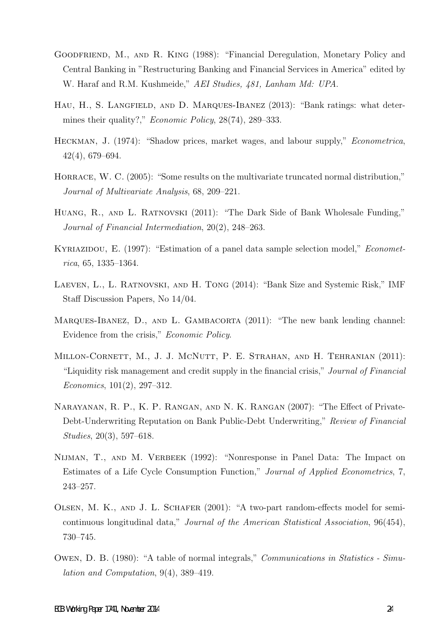- GOODFRIEND, M., AND R. KING (1988): "Financial Deregulation, Monetary Policy and Central Banking in "Restructuring Banking and Financial Services in America" edited by W. Haraf and R.M. Kushmeide," AEI Studies, 481, Lanham Md: UPA.
- HAU, H., S. LANGFIELD, AND D. MARQUES-IBANEZ (2013): "Bank ratings: what determines their quality?," *Economic Policy*, 28(74), 289–333.
- Heckman, J. (1974): "Shadow prices, market wages, and labour supply," Econometrica, 42(4), 679–694.
- HORRACE, W. C. (2005): "Some results on the multivariate truncated normal distribution," Journal of Multivariate Analysis, 68, 209–221.
- Huang, R., and L. Ratnovski (2011): "The Dark Side of Bank Wholesale Funding," Journal of Financial Intermediation, 20(2), 248–263.
- KYRIAZIDOU, E. (1997): "Estimation of a panel data sample selection model," *Economet*rica, 65, 1335–1364.
- Laeven, L., L. Ratnovski, and H. Tong (2014): "Bank Size and Systemic Risk," IMF Staff Discussion Papers, No 14/04.
- MARQUES-IBANEZ, D., AND L. GAMBACORTA (2011): "The new bank lending channel: Evidence from the crisis," Economic Policy.
- MILLON-CORNETT, M., J. J. MCNUTT, P. E. STRAHAN, AND H. TEHRANIAN (2011): "Liquidity risk management and credit supply in the financial crisis," Journal of Financial Economics, 101(2), 297–312.
- Narayanan, R. P., K. P. Rangan, and N. K. Rangan (2007): "The Effect of Private-Debt-Underwriting Reputation on Bank Public-Debt Underwriting," Review of Financial Studies, 20(3), 597–618.
- NIJMAN, T., AND M. VERBEEK (1992): "Nonresponse in Panel Data: The Impact on Estimates of a Life Cycle Consumption Function," Journal of Applied Econometrics, 7, 243–257.
- Olsen, M. K., and J. L. Schafer (2001): "A two-part random-effects model for semicontinuous longitudinal data," Journal of the American Statistical Association, 96(454), 730–745.
- Owen, D. B. (1980): "A table of normal integrals," Communications in Statistics Simulation and Computation, 9(4), 389–419.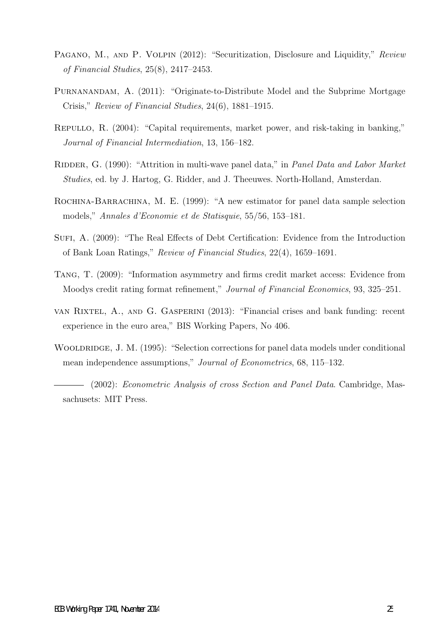- PAGANO, M., AND P. VOLPIN (2012): "Securitization, Disclosure and Liquidity," Review of Financial Studies, 25(8), 2417–2453.
- Purnanandam, A. (2011): "Originate-to-Distribute Model and the Subprime Mortgage Crisis," Review of Financial Studies, 24(6), 1881–1915.
- Repullo, R. (2004): "Capital requirements, market power, and risk-taking in banking," Journal of Financial Intermediation, 13, 156–182.
- RIDDER, G. (1990): "Attrition in multi-wave panel data," in Panel Data and Labor Market Studies, ed. by J. Hartog, G. Ridder, and J. Theeuwes. North-Holland, Amsterdan.
- ROCHINA-BARRACHINA, M. E. (1999): "A new estimator for panel data sample selection models," Annales d'Economie et de Statisquie, 55/56, 153–181.
- Sufi, A. (2009): "The Real Effects of Debt Certification: Evidence from the Introduction of Bank Loan Ratings," Review of Financial Studies, 22(4), 1659–1691.
- Tang, T. (2009): "Information asymmetry and firms credit market access: Evidence from Moodys credit rating format refinement," Journal of Financial Economics, 93, 325–251.
- van Rixtel, A., and G. Gasperini (2013): "Financial crises and bank funding: recent experience in the euro area," BIS Working Papers, No 406.
- WOOLDRIDGE, J. M. (1995): "Selection corrections for panel data models under conditional mean independence assumptions," Journal of Econometrics, 68, 115–132.

(2002): Econometric Analysis of cross Section and Panel Data. Cambridge, Massachusets: MIT Press.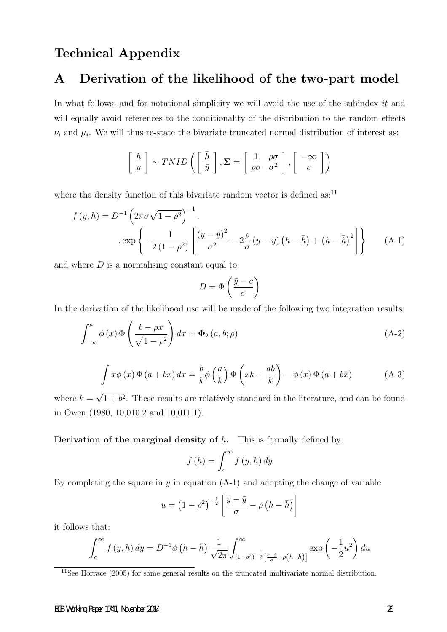## Technical Appendix

## A Derivation of the likelihood of the two-part model

In what follows, and for notational simplicity we will avoid the use of the subindex it and will equally avoid references to the conditionality of the distribution to the random effects  $\nu_i$  and  $\mu_i$ . We will thus re-state the bivariate truncated normal distribution of interest as:

$$
\left[\begin{array}{c} h \\ y \end{array}\right] \sim TNID\left(\left[\begin{array}{c} \bar{h} \\ \bar{y} \end{array}\right], \Sigma = \left[\begin{array}{cc} 1 & \rho\sigma \\ \rho\sigma & \sigma^2 \end{array}\right], \left[\begin{array}{c} -\infty \\ c \end{array}\right]\right)
$$

where the density function of this bivariate random vector is defined as: $^{11}$ 

$$
f(y,h) = D^{-1} \left( 2\pi \sigma \sqrt{1 - \rho^2} \right)^{-1}.
$$
  
. 
$$
\exp \left\{ -\frac{1}{2(1 - \rho^2)} \left[ \frac{(y - \bar{y})^2}{\sigma^2} - 2\frac{\rho}{\sigma} (y - \bar{y}) \left( h - \bar{h} \right) + \left( h - \bar{h} \right)^2 \right] \right\}
$$
 (A-1)

and where  $D$  is a normalising constant equal to:

$$
D = \Phi\left(\frac{\bar{y} - c}{\sigma}\right)
$$

In the derivation of the likelihood use will be made of the following two integration results:

$$
\int_{-\infty}^{a} \phi(x) \Phi\left(\frac{b - \rho x}{\sqrt{1 - \rho^2}}\right) dx = \Phi_2(a, b; \rho)
$$
\n(A-2)

$$
\int x\phi(x)\Phi(a+bx)\,dx = \frac{b}{k}\phi\left(\frac{a}{k}\right)\Phi\left(xk+\frac{ab}{k}\right) - \phi(x)\Phi(a+bx) \tag{A-3}
$$

where  $k =$ √  $1 + b^2$ . These results are relatively standard in the literature, and can be found in Owen (1980, 10,010.2 and 10,011.1).

Derivation of the marginal density of  $h$ . This is formally defined by:

$$
f(h) = \int_{c}^{\infty} f(y, h) dy
$$

By completing the square in  $y$  in equation  $(A-1)$  and adopting the change of variable

$$
u = \left(1 - \rho^2\right)^{-\frac{1}{2}} \left[\frac{y - \bar{y}}{\sigma} - \rho\left(h - \bar{h}\right)\right]
$$

it follows that:

$$
\int_c^{\infty} f(y, h) dy = D^{-1} \phi \left( h - \bar{h} \right) \frac{1}{\sqrt{2\pi}} \int_{(1-\rho^2)^{-\frac{1}{2}} \left[ \frac{c - \bar{y}}{\sigma} - \rho \left( h - \bar{h} \right) \right]}^{\infty} \exp\left( -\frac{1}{2} u^2 \right) du
$$

<sup>&</sup>lt;sup>11</sup>See Horrace (2005) for some general results on the truncated multivariate normal distribution.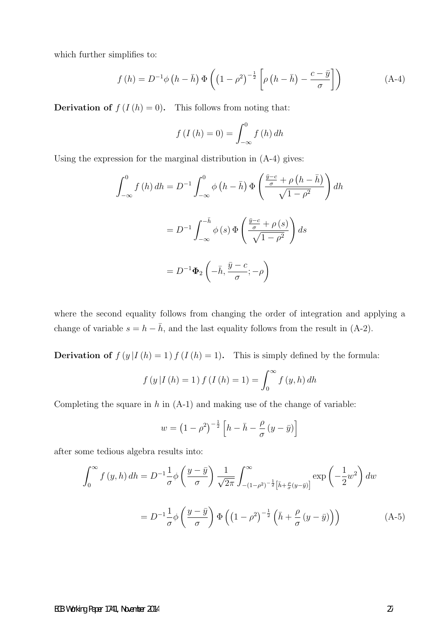which further simplifies to:

$$
f(h) = D^{-1}\phi\left(h - \bar{h}\right)\Phi\left(\left(1 - \rho^2\right)^{-\frac{1}{2}}\left[\rho\left(h - \bar{h}\right) - \frac{c - \bar{y}}{\sigma}\right]\right) \tag{A-4}
$$

**Derivation of**  $f(I(h) = 0)$ . This follows from noting that:

$$
f\left(I\left(h\right)=0\right)=\int_{-\infty}^{0}f\left(h\right)dh
$$

Using the expression for the marginal distribution in (A-4) gives:

$$
\int_{-\infty}^{0} f(h) dh = D^{-1} \int_{-\infty}^{0} \phi\left(h - \bar{h}\right) \Phi\left(\frac{\frac{\bar{y} - c}{\sigma} + \rho\left(h - \bar{h}\right)}{\sqrt{1 - \rho^{2}}}\right) dh
$$

$$
= D^{-1} \int_{-\infty}^{-\bar{h}} \phi\left(s\right) \Phi\left(\frac{\frac{\bar{y} - c}{\sigma} + \rho\left(s\right)}{\sqrt{1 - \rho^{2}}}\right) ds
$$

$$
= D^{-1} \Phi_{2}\left(-\bar{h}, \frac{\bar{y} - c}{\sigma}; -\rho\right)
$$

where the second equality follows from changing the order of integration and applying a change of variable  $s = h - \bar{h}$ , and the last equality follows from the result in (A-2).

**Derivation of**  $f(y|I(h) = 1) f(I(h) = 1)$ . This is simply defined by the formula:

$$
f(y|I(h) = 1) f(I(h) = 1) = \int_0^\infty f(y, h) dh
$$

Completing the square in  $h$  in  $(A-1)$  and making use of the change of variable:

$$
w = \left(1 - \rho^2\right)^{-\frac{1}{2}} \left[h - \bar{h} - \frac{\rho}{\sigma} \left(y - \bar{y}\right)\right]
$$

after some tedious algebra results into:

$$
\int_0^\infty f(y, h) dh = D^{-1} \frac{1}{\sigma} \phi \left( \frac{y - \bar{y}}{\sigma} \right) \frac{1}{\sqrt{2\pi}} \int_{-(1-\rho^2)^{-\frac{1}{2}} \left[ \bar{h} + \frac{\rho}{\sigma} (y - \bar{y}) \right]}^{\infty} \exp\left( -\frac{1}{2} w^2 \right) dw
$$

$$
= D^{-1} \frac{1}{\sigma} \phi \left( \frac{y - \bar{y}}{\sigma} \right) \Phi \left( \left( 1 - \rho^2 \right)^{-\frac{1}{2}} \left( \bar{h} + \frac{\rho}{\sigma} (y - \bar{y}) \right) \right) \tag{A-5}
$$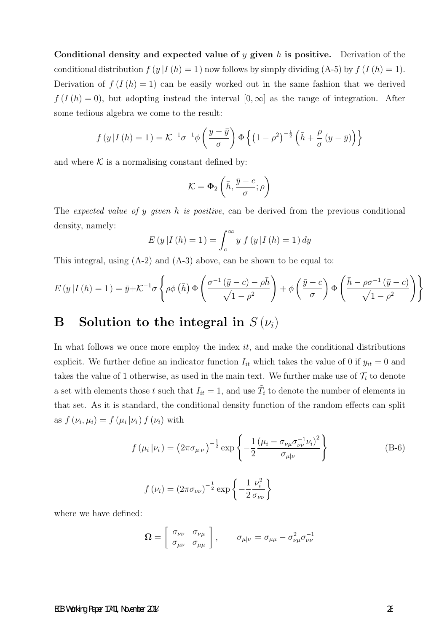Conditional density and expected value of  $\eta$  given h is positive. Derivation of the conditional distribution  $f(y|I(h) = 1)$  now follows by simply dividing  $(A-5)$  by  $f(I(h) = 1)$ . Derivation of  $f(I(h) = 1)$  can be easily worked out in the same fashion that we derived  $f(I(h) = 0)$ , but adopting instead the interval  $[0, \infty]$  as the range of integration. After some tedious algebra we come to the result:

$$
f(y|I(h) = 1) = \mathcal{K}^{-1}\sigma^{-1}\phi\left(\frac{y-\bar{y}}{\sigma}\right)\Phi\left\{\left(1-\rho^2\right)^{-\frac{1}{2}}\left(\bar{h} + \frac{\rho}{\sigma}\left(y-\bar{y}\right)\right)\right\}
$$

and where  $K$  is a normalising constant defined by:

$$
\mathcal{K} = \mathbf{\Phi}_2 \left( \bar{h}, \frac{\bar{y} - c}{\sigma}; \rho \right)
$$

The expected value of y given h is positive, can be derived from the previous conditional density, namely:

$$
E(y | I(h) = 1) = \int_{c}^{\infty} y f(y | I(h) = 1) dy
$$

This integral, using (A-2) and (A-3) above, can be shown to be equal to:

$$
E(y|I(h) = 1) = \bar{y} + \mathcal{K}^{-1}\sigma \left\{ \rho \phi \left(\bar{h}\right) \Phi \left(\frac{\sigma^{-1} \left(\bar{y} - c\right) - \rho \bar{h}}{\sqrt{1 - \rho^2}}\right) + \phi \left(\frac{\bar{y} - c}{\sigma}\right) \Phi \left(\frac{\bar{h} - \rho \sigma^{-1} \left(\bar{y} - c\right)}{\sqrt{1 - \rho^2}}\right) \right\}
$$

# B Solution to the integral in  $S(\nu_i)$

In what follows we once more employ the index  $it$ , and make the conditional distributions explicit. We further define an indicator function  $I_{it}$  which takes the value of 0 if  $y_{it} = 0$  and takes the value of 1 otherwise, as used in the main text. We further make use of  $\mathcal{T}_i$  to denote a set with elements those t such that  $I_{it} = 1$ , and use  $\tilde{T}_i$  to denote the number of elements in that set. As it is standard, the conditional density function of the random effects can split as  $f(\nu_i, \mu_i) = f(\mu_i | \nu_i) f(\nu_i)$  with

$$
f(\mu_i|\nu_i) = (2\pi\sigma_{\mu|\nu})^{-\frac{1}{2}} \exp\left\{-\frac{1}{2}\frac{(\mu_i - \sigma_{\nu\mu}\sigma_{\nu\nu}^{-1}\nu_i)^2}{\sigma_{\mu|\nu}}\right\}
$$
(B-6)

$$
f(\nu_i) = (2\pi\sigma_{\nu\nu})^{-\frac{1}{2}} \exp\left\{-\frac{1}{2}\frac{\nu_i^2}{\sigma_{\nu\nu}}\right\}
$$

where we have defined:

$$
\Omega = \left[ \begin{array}{cc} \sigma_{\nu\nu} & \sigma_{\nu\mu} \\ \sigma_{\mu\nu} & \sigma_{\mu\mu} \end{array} \right], \qquad \sigma_{\mu|\nu} = \sigma_{\mu\mu} - \sigma_{\nu\mu}^2 \sigma_{\nu\nu}^{-1}
$$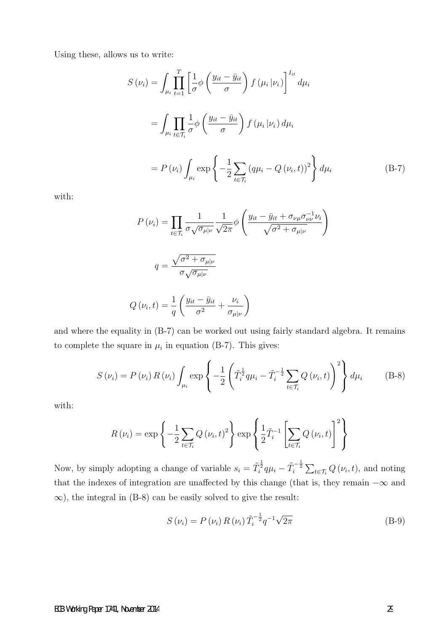Using these, allows us to write:

$$
S(\nu_i) = \int_{\mu_i} \prod_{t=1}^T \left[ \frac{1}{\sigma} \phi \left( \frac{y_{it} - \bar{y}_{it}}{\sigma} \right) f(\mu_i | \nu_i) \right]^{I_{it}} d\mu_i
$$
  

$$
= \int_{\mu_i} \prod_{t \in \mathcal{T}_i} \frac{1}{\sigma} \phi \left( \frac{y_{it} - \bar{y}_{it}}{\sigma} \right) f(\mu_i | \nu_i) d\mu_i
$$
  

$$
= P(\nu_i) \int_{\mu_i} \exp \left\{ -\frac{1}{2} \sum_{t \in \mathcal{T}_i} (q\mu_i - Q(\nu_i, t))^2 \right\} d\mu_i
$$
 (B-7)

with:

$$
P(\nu_i) = \prod_{t \in \mathcal{T}_i} \frac{1}{\sigma \sqrt{\sigma_{\mu | \nu}}} \frac{1}{\sqrt{2\pi}} \phi \left( \frac{y_{it} - \bar{y}_{it} + \sigma_{\nu \mu} \sigma_{\nu \nu}^{-1} \nu_i}{\sqrt{\sigma^2 + \sigma_{\mu | \nu}}} \right)
$$

$$
q = \frac{\sqrt{\sigma^2 + \sigma_{\mu | \nu}}}{\sigma \sqrt{\sigma_{\mu | \nu}}}
$$

$$
Q(\nu_i, t) = \frac{1}{q} \left( \frac{y_{it} - \bar{y}_{it}}{\sigma^2} + \frac{\nu_i}{\sigma_{\mu | \nu}} \right)
$$

and where the equality in (B-7) can be worked out using fairly standard algebra. It remains to complete the square in  $\mu_i$  in equation (B-7). This gives:

σµ|<sup>ν</sup>

q

$$
S(\nu_{i}) = P(\nu_{i}) R(\nu_{i}) \int_{\mu_{i}} \exp \left\{-\frac{1}{2} \left(\tilde{T}_{i}^{\frac{1}{2}} q \mu_{i} - \tilde{T}_{i}^{-\frac{1}{2}} \sum_{t \in \mathcal{T}_{i}} Q(\nu_{i}, t)\right)^{2}\right\} d\mu_{i}
$$
(B-8)

with:

$$
R(\nu_i) = \exp\left\{-\frac{1}{2}\sum_{t \in \mathcal{T}_i} Q(\nu_i, t)^2\right\} \exp\left\{\frac{1}{2}\tilde{T}_i^{-1}\left[\sum_{t \in \mathcal{T}_i} Q(\nu_i, t)\right]^2\right\}
$$

Now, by simply adopting a change of variable  $s_i = \tilde{T}_i^{\frac{1}{2}} q \mu_i - \tilde{T}_i^{-\frac{1}{2}} \sum_{t \in \mathcal{T}_i} Q(\nu_i, t)$ , and noting that the indexes of integration are unaffected by this change (that is, they remain  $-\infty$  and  $\infty$ ), the integral in (B-8) can be easily solved to give the result:

$$
S(\nu_i) = P(\nu_i) R(\nu_i) \tilde{T}_i^{-\frac{1}{2}} q^{-1} \sqrt{2\pi}
$$
 (B-9)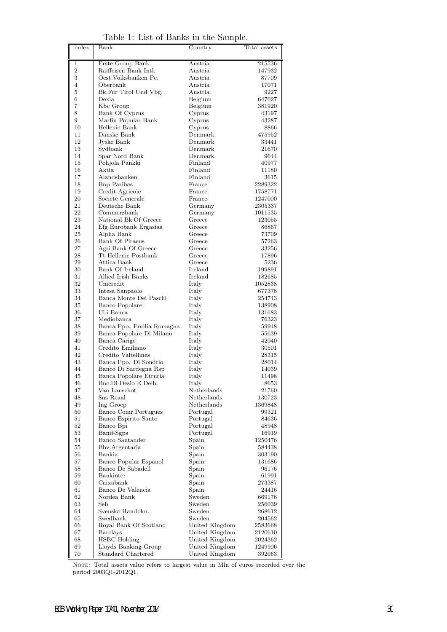| index          | Bank                                        | Country                          | Total assets       |
|----------------|---------------------------------------------|----------------------------------|--------------------|
| 1              | Erste Group Bank                            | Austria                          | 215536             |
| $\overline{2}$ | Raiffeisen Bank Intl.                       | Austria                          | 147932             |
| 3              | Oest. Volksbanken Pc.                       | Austria                          | 87709              |
| 4              | Oberbank                                    | Austria.                         | 17071              |
| 5              | Bk.Fur Tirol Und Vbg.                       | Austria                          | 9227               |
| 6              | Dexia                                       | Belgium                          | 647027             |
| 7              | Kbc Group                                   | Belgium                          | 381920             |
| 8              | Bank Of Cyprus                              | Cyprus                           | 43197              |
| 9              | Marfin Popular Bank                         | Cyprus                           | 43287              |
| 10             | Hellenic Bank                               | Cyprus                           | 8866               |
| 11             | Danske Bank                                 | Denmark                          | 475952             |
| 12             | Jyske Bank                                  | Denmark                          | 33441              |
| 13             | Sydbank                                     | Denmark                          | 21670              |
| 14<br>15       | Spar Nord Bank                              | Denmark<br>Finland               | 9644               |
| 16             | Pohjola Pankki<br>Aktia                     | Finland                          | 40977<br>11180     |
| 17             | Alandsbanken                                | Finland                          | 3615               |
| 18             | <b>Bnp Paribas</b>                          | France                           | 2289322            |
| 19             | Credit Agricole                             | France                           | 1758771            |
| 20             | Societe Generale                            | France                           | 1247000            |
| 21             | Deutsche Bank                               | Germany                          | 2305337            |
| 22             | Commerzbank                                 | Germany                          | 1011535            |
| 23             | National Bk.Of Greece                       | Greece                           | 123055             |
| 24             | Efg Eurobank Ergasias                       | Greece                           | 86867              |
| 25             | Alpha Bank                                  | Greece                           | 73709              |
| 26             | <b>Bank Of Piraeus</b>                      | Greece                           | 57263              |
| 27             | Agri.Bank Of Greece                         | Greece                           | 33256              |
| 28             | Tt Hellenic Postbank                        | Greece                           | 17896              |
| 29             | Attica Bank                                 | Greece                           | 5236               |
| 30             | Bank Of Ireland                             | Ireland                          | 199891             |
| 31             | Allied Irish Banks                          | Ireland                          | 182685             |
| 32             | Unicredit                                   | Italy                            | 1052838            |
| 33<br>34       | Intesa Sanpaolo                             | Italy                            | 677378<br>254743   |
| 35             | Banca Monte Dei Paschi<br>Banco Popolare    | Italy<br>Italy                   | 138908             |
| 36             | Ubi Banca                                   | Italy                            | 131683             |
| 37             | Mediobanca                                  | Italy                            | 76323              |
| 38             | Banca Ppo. Emilia Romagna                   | Italy                            | 59948              |
| 39             | Banca Popolare Di Milano                    | Italy                            | 55639              |
| 40             | Banca Carige                                | Italy                            | 42040              |
| 41             | Credito Emiliano                            | Italy                            | 30501              |
| 42             | Credito Valtellines                         | Italy                            | 28315              |
| 43             | Banca Ppo. Di Sondrio                       | Italy                            | 28014              |
| 44             | Banco Di Sardegna Rsp                       | Italy                            | 14039              |
| 45             | Banca Popolare Etruria                      | Italy                            | 11498              |
| 46             | Bnc.Di Desio E Delb.                        | Italy                            | 8653               |
| 47             | Van Lanschot                                | Netherlands                      | 21760              |
| 48             | Sns Reaal                                   | Netherlands                      | 130723             |
| 49             | Ing Groep<br>Banco Comr.Portugues           | Netherlands                      | 1369848<br>99321   |
| 50<br>51       | Banco Espirito Santo                        | Portugal<br>Portugal             | 84636              |
| 52             | Banco Bpi                                   | Portugal                         | 48948              |
| 53             | Banif-Sgps                                  | Portugal                         | 16919              |
| 54             | Banco Santander                             | Spain                            | 1250476            |
| 55             | Bby Argentaria                              | Spain                            | 584438             |
| 56             | Bankia                                      | Spain                            | 303190             |
| 57             | Banco Popular Espanol                       | Spain                            | 131686             |
| 58             | Banco De Sabadell                           | Spain                            | 96176              |
| 59             | Bankinter                                   | Spain                            | 61991              |
| 60             | Caixabank                                   | Spain                            | 273387             |
| 61             | Banco De Valencia                           | Spain                            | 24416              |
| 62             | Nordea Bank                                 | Sweden                           | 669176             |
| 63             | Seb                                         | Sweden                           | 256039             |
| 64             | Svenska Handbkn.                            | Sweden                           | 268612             |
| 65             | Swedbank                                    | Sweden                           | 204562             |
| 66             | Royal Bank Of Scotland                      | United Kingdom                   | 2583668            |
|                | <b>Barclays</b>                             | United Kingdom                   | 2120610            |
| 67             |                                             |                                  |                    |
| 68<br>69       | <b>HSBC</b> Holding<br>Lloyds Banking Group | United Kingdom<br>United Kingdom | 2024362<br>1249906 |

Table 1: List of Banks in the Sample.

NOTE: Total assets value refers to largest value in Mln of euros recorded over the period 2003Q1-2012Q1.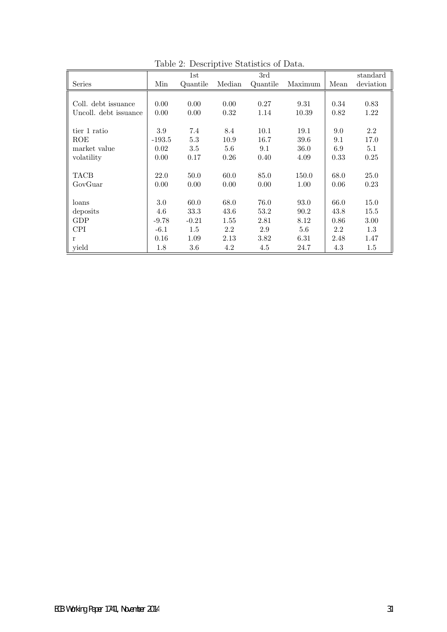|                       |          | 1st      |        | 3rd      |         |      | standard  |
|-----------------------|----------|----------|--------|----------|---------|------|-----------|
| <b>Series</b>         | Min      | Quantile | Median | Quantile | Maximum | Mean | deviation |
|                       |          |          |        |          |         |      |           |
| Coll. debt issuance   | 0.00     | 0.00     | 0.00   | 0.27     | 9.31    | 0.34 | 0.83      |
| Uncoll. debt issuance | 0.00     | 0.00     | 0.32   | 1.14     | 10.39   | 0.82 | 1.22      |
|                       |          |          |        |          |         |      |           |
| tier 1 ratio          | 3.9      | 7.4      | 8.4    | 10.1     | 19.1    | 9.0  | 2.2       |
| ROE                   | $-193.5$ | 5.3      | 10.9   | 16.7     | 39.6    | 9.1  | 17.0      |
| market value          | 0.02     | 3.5      | 5.6    | 9.1      | 36.0    | 6.9  | 5.1       |
| volatility            | 0.00     | 0.17     | 0.26   | 0.40     | 4.09    | 0.33 | 0.25      |
|                       |          |          |        |          |         |      |           |
| <b>TACB</b>           | 22.0     | 50.0     | 60.0   | 85.0     | 150.0   | 68.0 | 25.0      |
| GovGuar               | 0.00     | 0.00     | 0.00   | 0.00     | 1.00    | 0.06 | 0.23      |
|                       |          |          |        |          |         |      |           |
| loans                 | 3.0      | 60.0     | 68.0   | 76.0     | 93.0    | 66.0 | 15.0      |
| deposits              | 4.6      | 33.3     | 43.6   | 53.2     | 90.2    | 43.8 | 15.5      |
| GDP                   | $-9.78$  | $-0.21$  | 1.55   | 2.81     | 8.12    | 0.86 | 3.00      |
| <b>CPI</b>            | $-6.1$   | 1.5      | 2.2    | 2.9      | 5.6     | 2.2  | 1.3       |
| r                     | 0.16     | 1.09     | 2.13   | 3.82     | 6.31    | 2.48 | 1.47      |
| yield                 | 1.8      | 3.6      | 4.2    | 4.5      | 24.7    | 4.3  | 1.5       |

Table 2: Descriptive Statistics of Data.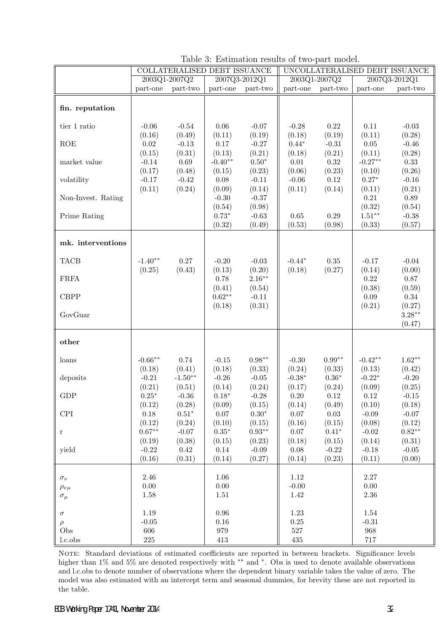|                                                                                                                                           | UNCOLLATERALISED DEBT ISSUANCE |  |  |  |
|-------------------------------------------------------------------------------------------------------------------------------------------|--------------------------------|--|--|--|
| 2003Q1-2007Q2<br>2007Q3-2012Q1<br>2003Q1-2007Q2<br>2007Q3-2012Q1                                                                          |                                |  |  |  |
| part-two<br>part-one<br>part-one part-two<br>part-one<br>part-two<br>part-one                                                             | part-two                       |  |  |  |
|                                                                                                                                           |                                |  |  |  |
| fin. reputation                                                                                                                           |                                |  |  |  |
|                                                                                                                                           |                                |  |  |  |
| $0.06\,$<br>0.22<br>0.11<br>tier 1 ratio<br>$-0.06$<br>$-0.54$<br>$-0.07$<br>$-0.28$                                                      | $-0.03$                        |  |  |  |
| (0.11)<br>(0.16)<br>(0.49)<br>(0.11)<br>(0.19)<br>(0.18)<br>(0.19)                                                                        | (0.28)                         |  |  |  |
| $-0.27$<br>$0.05\,$<br>ROE<br>$0.02\,$<br>$-0.13$<br>0.17<br>$0.44*$<br>$-0.31$                                                           | $-0.46$                        |  |  |  |
| (0.21)<br>(0.21)<br>(0.15)<br>(0.31)<br>(0.13)<br>(0.11)<br>(0.18)<br>$0.50*$                                                             | (0.28)                         |  |  |  |
| $-0.27**$<br>$-0.14$<br>0.69<br>$-0.40**$<br>0.01<br>0.32<br>market value                                                                 | 0.33                           |  |  |  |
| (0.48)<br>(0.23)<br>(0.06)<br>(0.23)<br>(0.17)<br>(0.15)<br>(0.10)<br>$-0.42$<br>$0.27*$<br>$-0.17$<br>0.08<br>$-0.11$<br>$-0.06$<br>0.12 | (0.26)<br>$-0.16$              |  |  |  |
| volatility<br>(0.14)<br>(0.11)<br>(0.24)<br>(0.09)<br>(0.11)<br>(0.14)                                                                    | (0.21)                         |  |  |  |
| (0.11)<br>$-0.37$<br>0.21<br>Non-Invest. Rating<br>$-0.30$                                                                                | 0.89                           |  |  |  |
| (0.98)<br>(0.32)<br>(0.54)                                                                                                                | (0.54)                         |  |  |  |
| $1.51***$<br>$0.73*$<br>$-0.63$<br>0.29<br>Prime Rating<br>$0.65\,$                                                                       | $-0.38$                        |  |  |  |
| (0.49)<br>(0.32)<br>(0.53)<br>(0.98)<br>(0.33)                                                                                            | (0.57)                         |  |  |  |
|                                                                                                                                           |                                |  |  |  |
| mk. interventions                                                                                                                         |                                |  |  |  |
|                                                                                                                                           |                                |  |  |  |
| <b>TACB</b><br>0.27<br>$0.35\,$<br>$-1.40**$<br>$-0.20$<br>$-0.03$<br>$-0.44*$<br>$-0.17$                                                 | $-0.04$                        |  |  |  |
| (0.25)<br>(0.43)<br>(0.13)<br>(0.20)<br>(0.27)<br>(0.14)<br>(0.18)                                                                        | (0.00)                         |  |  |  |
| $2.16**$<br>0.22<br><b>FRFA</b><br>0.78                                                                                                   | 0.87                           |  |  |  |
| (0.41)<br>(0.38)<br>(0.54)                                                                                                                | (0.59)                         |  |  |  |
| $0.62**$<br>$-0.11$<br>$0.09\,$<br><b>CBPP</b>                                                                                            | $0.34\,$                       |  |  |  |
| (0.31)<br>(0.21)<br>(0.18)                                                                                                                | (0.27)                         |  |  |  |
| GovGuar                                                                                                                                   | $3.28***$                      |  |  |  |
|                                                                                                                                           | (0.47)                         |  |  |  |
|                                                                                                                                           |                                |  |  |  |
| other                                                                                                                                     |                                |  |  |  |
|                                                                                                                                           |                                |  |  |  |
| $0.99**$<br>$-0.66**$<br>$0.74\,$<br>$0.98**$<br>$-0.30$<br>$-0.42**$<br>$-0.15$<br>loans                                                 | $1.62**$                       |  |  |  |
| (0.41)<br>(0.18)<br>(0.24)<br>(0.18)<br>(0.33)<br>(0.33)<br>(0.13)                                                                        | (0.42)                         |  |  |  |
| $-1.50**$<br>$-0.22*$<br>$-0.21$<br>$-0.26$<br>$-0.05$<br>$-0.38*$<br>$0.36^{\ast}$<br>deposits                                           | $-0.20$                        |  |  |  |
| (0.21)<br>(0.24)<br>(0.51)<br>(0.14)<br>(0.17)<br>(0.24)<br>(0.09)                                                                        | (0.25)                         |  |  |  |
| GDP<br>$0.25*$<br>$-0.36$<br>$0.18*$<br>$-0.28$<br>0.20<br>0.12<br>0.12                                                                   | $-0.15$                        |  |  |  |
| (0.28)<br>(0.09)<br>(0.12)<br>(0.15)<br>(0.14)<br>(0.49)<br>(0.10)                                                                        | (0.18)                         |  |  |  |
| $0.51^{\ast}$<br>$0.07\,$<br>$0.30^{\ast}$<br>$\ensuremath{\mathrm{CPI}}$<br>$0.18\,$<br>$0.07\,$<br>$0.03\,$<br>$-0.09$                  | $-0.07$                        |  |  |  |
| (0.08)<br>(0.12)<br>(0.24)<br>(0.10)<br>(0.15)<br>(0.16)<br>(0.15)                                                                        | (0.12)                         |  |  |  |
| $0.67**$<br>$0.93**$<br>$-0.07$<br>$0.35^{\ast}$<br>$0.07\,$<br>$0.41^{\ast}$<br>$-0.02$<br>$\bf r$                                       | $0.82**$                       |  |  |  |
| (0.38)<br>(0.18)<br>(0.14)<br>(0.19)<br>(0.15)<br>(0.23)<br>(0.15)                                                                        | (0.31)                         |  |  |  |
| $0.08\,$<br>$-0.18$<br>$-0.22$<br>$\rm 0.42$<br>$0.14\,$<br>$-0.09$<br>$-0.22$<br>yield                                                   | $-0.05$                        |  |  |  |
| (0.16)<br>(0.31)<br>(0.27)<br>(0.14)<br>(0.11)<br>(0.14)<br>(0.23)                                                                        | (0.00)                         |  |  |  |
| $2.27\,$<br>2.46<br>1.06<br>1.12                                                                                                          |                                |  |  |  |
| $\sigma_\nu$<br>$0.00\,$<br>$0.00\,$<br>$0.00\,$<br>$-0.00$                                                                               |                                |  |  |  |
| $\rho_{\nu\mu}$<br>1.42<br>$2.36\,$<br>1.58<br>1.51                                                                                       |                                |  |  |  |
| $\sigma_\mu$                                                                                                                              |                                |  |  |  |
| $\rm 0.96$<br>1.23<br>1.19<br>1.54<br>$\sigma$                                                                                            |                                |  |  |  |
| $-0.05$<br>$0.16\,$<br>$0.25\,$<br>$-0.31$<br>$\rho$                                                                                      |                                |  |  |  |
| Obs<br>606<br>527<br>968<br>979                                                                                                           |                                |  |  |  |
| $225\,$<br>717<br>l.c.obs<br>413<br>435                                                                                                   |                                |  |  |  |

|  | Table 3: Estimation results of two-part model. |  |  |  |  |
|--|------------------------------------------------|--|--|--|--|
|--|------------------------------------------------|--|--|--|--|

NOTE: Standard deviations of estimated coefficients are reported in between brackets. Significance levels higher than 1% and 5% are denoted respectively with ∗∗ and <sup>∗</sup> . Obs is used to denote available observations and l.c.obs to denote number of observations where the dependent binary variable takes the value of zero. The model was also estimated with an intercept term and seasonal dummies, for brevity these are not reported in the table.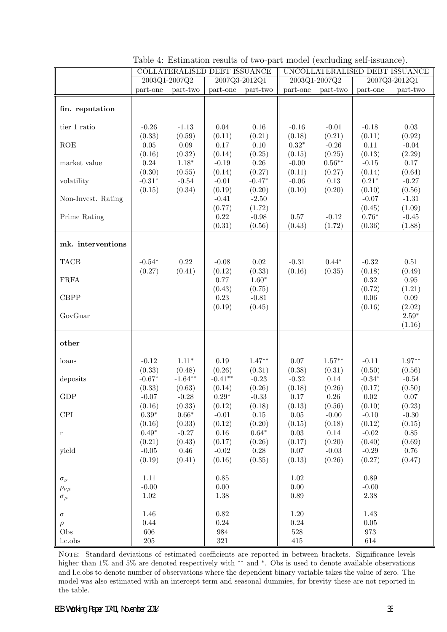|                             | COLLATERALISED DEBT ISSUANCE |               |               | UNCOLLATERALISED DEBT ISSUANCE |            |               |               |               |
|-----------------------------|------------------------------|---------------|---------------|--------------------------------|------------|---------------|---------------|---------------|
|                             |                              | 2003Q1-2007Q2 |               | 2007Q3-2012Q1                  |            | 2003Q1-2007Q2 | 2007Q3-2012Q1 |               |
|                             | part-one                     | part-two      | part-one      | part-two                       | part-one   | part-two      | part-one      | part-two      |
|                             |                              |               |               |                                |            |               |               |               |
| fin. reputation             |                              |               |               |                                |            |               |               |               |
|                             |                              |               |               |                                |            |               |               |               |
| tier 1 ratio                | $-0.26$                      | $-1.13$       | 0.04          | 0.16                           | $-0.16$    | $-0.01$       | $-0.18$       | $0.03\,$      |
|                             | (0.33)                       | (0.59)        | (0.11)        | (0.21)                         | (0.18)     | (0.21)        | (0.11)        | (0.92)        |
| ROE                         | $0.05\,$                     | $0.09\,$      | 0.17          | 0.10                           | $0.32*$    | $-0.26$       | 0.11          | $-0.04$       |
|                             | (0.16)                       | (0.32)        | (0.14)        | (0.25)                         | (0.15)     | (0.25)        | (0.13)        | (2.29)        |
| market value                | 0.24                         | $1.18*$       | $-0.19$       | 0.26                           | $-0.00$    | $0.56**$      | $-0.15$       | 0.17          |
|                             | (0.30)                       | (0.55)        | (0.14)        | (0.27)                         | (0.11)     | (0.27)        | (0.14)        | (0.64)        |
| volatility                  | $-0.31*$                     | $-0.54$       | $-0.01$       | $-0.47*$                       | $-0.06$    | $0.13\,$      | $0.21*$       | $-0.27$       |
|                             | (0.15)                       | (0.34)        | (0.19)        | (0.20)                         | (0.10)     | (0.20)        | (0.10)        | (0.56)        |
| Non-Invest. Rating          |                              |               | $-0.41$       | $-2.50$                        |            |               | $-0.07$       | $-1.31$       |
|                             |                              |               | (0.77)        | (1.72)                         |            |               | (0.45)        | (1.09)        |
| Prime Rating                |                              |               | 0.22          | $-0.98$                        | 0.57       | $-0.12$       | $0.76*$       | $-0.45$       |
|                             |                              |               | (0.31)        | (0.56)                         | (0.43)     | (1.72)        | (0.36)        | (1.88)        |
|                             |                              |               |               |                                |            |               |               |               |
| mk. interventions           |                              |               |               |                                |            |               |               |               |
|                             |                              |               |               |                                |            |               |               |               |
| <b>TACB</b>                 | $-0.54*$                     | 0.22          | $-0.08$       | $0.02\,$                       | $-0.31$    | $0.44*$       | $-0.32$       | 0.51          |
|                             | (0.27)                       | (0.41)        | (0.12)        | (0.33)                         | (0.16)     | (0.35)        | (0.18)        | (0.49)        |
| <b>FRFA</b>                 |                              |               | 0.77          | $1.60*$                        |            |               | 0.32          | $\rm 0.95$    |
|                             |                              |               | (0.43)        | (0.75)                         |            |               | (0.72)        | (1.21)        |
| <b>CBPP</b>                 |                              |               | 0.23          | $-0.81$                        |            |               | 0.06          | $0.09\,$      |
|                             |                              |               | (0.19)        | (0.45)                         |            |               | (0.16)        | (2.02)        |
| GovGuar                     |                              |               |               |                                |            |               |               | $2.59^{\ast}$ |
|                             |                              |               |               |                                |            |               |               | (1.16)        |
| other                       |                              |               |               |                                |            |               |               |               |
|                             |                              |               |               |                                |            |               |               |               |
|                             | $-0.12$                      | $1.11*$       | 0.19          | $1.47**$                       | 0.07       | $1.57***$     | $-0.11$       | $1.97**$      |
| loans                       | (0.33)                       | (0.48)        | (0.26)        | (0.31)                         | (0.38)     | (0.31)        | (0.50)        | (0.56)        |
| deposits                    | $-0.67*$                     | $-1.64**$     | $-0.41**$     | $-0.23$                        | $-0.32$    | 0.14          | $-0.34*$      | $-0.54$       |
|                             | (0.33)                       | (0.63)        | (0.14)        | (0.26)                         | (0.18)     | (0.26)        | (0.17)        | (0.50)        |
| GDP                         | $-0.07$                      | $-0.28$       | $0.29^{\ast}$ | $-0.33$                        | $0.17\,$   | 0.26          | $0.02\,$      | $0.07\,$      |
|                             | (0.16)                       | (0.33)        | (0.12)        | (0.18)                         | (0.13)     | (0.56)        | (0.10)        | (0.23)        |
| $\ensuremath{\mathrm{CPI}}$ | $0.39^{\ast}$                | $0.66^{\ast}$ | $-0.01$       | $0.15\,$                       | $0.05\,$   | $-0.00$       | $-0.10$       | $-0.30$       |
|                             | (0.16)                       | (0.33)        | (0.12)        | (0.20)                         | (0.15)     | (0.18)        | (0.12)        | (0.15)        |
| r                           | $0.49*$                      | $-0.27$       | $0.16\,$      | $0.64^{\ast}$                  | $\rm 0.03$ | $0.14\,$      | $-0.02$       | $0.85\,$      |
|                             | (0.21)                       | (0.43)        | (0.17)        | (0.26)                         | (0.17)     | (0.20)        | (0.40)        | (0.69)        |
| yield                       | $-0.05$                      | $0.46\,$      | $-0.02$       | $0.28\,$                       | $0.07\,$   | $-0.03$       | $-0.29$       | 0.76          |
|                             | (0.19)                       | (0.41)        | (0.16)        | (0.35)                         | (0.13)     | (0.26)        | (0.27)        | (0.47)        |
|                             |                              |               |               |                                |            |               |               |               |
| $\sigma_\nu$                | $1.11\,$                     |               | $0.85\,$      |                                | $1.02\,$   |               | 0.89          |               |
| $\rho_{\nu\mu}$             | $-0.00$                      |               | $0.00\,$      |                                | $0.00\,$   |               | $-0.00$       |               |
| $\sigma_\mu$                | $1.02\,$                     |               | 1.38          |                                | 0.89       |               | $2.38\,$      |               |
|                             |                              |               |               |                                |            |               |               |               |
| $\sigma$                    | 1.46                         |               | $0.82\,$      |                                | $1.20\,$   |               | 1.43          |               |
| $\rho$                      | $0.44\,$                     |               | 0.24          |                                | $0.24\,$   |               | $0.05\,$      |               |
| Obs                         | 606                          |               | 984           |                                | 528        |               | 973           |               |
| $1.c.$ obs                  | $205\,$                      |               | 321           |                                | 415        |               | 614           |               |

Table 4: Estimation results of two-part model (excluding self-issuance).

NOTE: Standard deviations of estimated coefficients are reported in between brackets. Significance levels higher than 1% and 5% are denoted respectively with ∗∗ and <sup>∗</sup> . Obs is used to denote available observations and l.c.obs to denote number of observations where the dependent binary variable takes the value of zero. The model was also estimated with an intercept term and seasonal dummies, for brevity these are not reported in the table.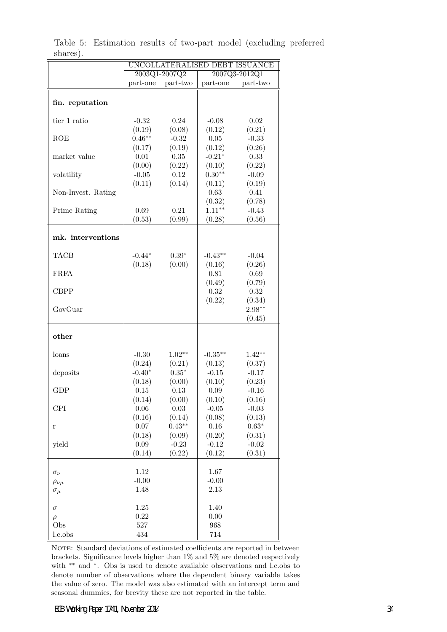|                            | UNCOLLATERALISED DEBT ISSUANCE |          |                 |                   |  |  |
|----------------------------|--------------------------------|----------|-----------------|-------------------|--|--|
|                            | 2003Q1-2007Q2                  |          | 2007Q3-2012Q1   |                   |  |  |
|                            | part-one part-two              |          |                 | part-one part-two |  |  |
|                            |                                |          |                 |                   |  |  |
| fin. reputation            |                                |          |                 |                   |  |  |
|                            |                                |          |                 |                   |  |  |
| tier 1 ratio               | $-0.32$                        | 0.24     | $-0.08$         | 0.02              |  |  |
|                            | (0.19)                         | (0.08)   | (0.12)          | (0.21)            |  |  |
| <b>ROE</b>                 | $0.46**$                       | $-0.32$  | 0.05            | $-0.33$           |  |  |
|                            | (0.17)                         | (0.19)   | (0.12)          | (0.26)            |  |  |
| market value               | 0.01                           | 0.35     | $-0.21*$        | 0.33              |  |  |
|                            | (0.00)                         | (0.22)   | (0.10)          | (0.22)            |  |  |
| volatility                 | $-0.05$                        | 0.12     | $0.30**$        | $-0.09$           |  |  |
|                            | (0.11)                         | (0.14)   | (0.11)          | (0.19)            |  |  |
| Non-Invest. Rating         |                                |          | 0.63            | 0.41              |  |  |
|                            |                                |          | (0.32)          | (0.78)            |  |  |
| Prime Rating               | 0.69                           | 0.21     | $1.11***$       | $-0.43$           |  |  |
|                            | (0.53)                         | (0.99)   | (0.28)          | (0.56)            |  |  |
|                            |                                |          |                 |                   |  |  |
| mk. interventions          |                                |          |                 |                   |  |  |
|                            |                                |          |                 |                   |  |  |
| <b>TACB</b>                | $-0.44*$                       | $0.39*$  | $-0.43**$       | $-0.04$           |  |  |
|                            | (0.18)                         | (0.00)   | (0.16)          | (0.26)            |  |  |
| ${\rm F} {\rm R} {\rm FA}$ |                                |          | 0.81            | 0.69              |  |  |
|                            |                                |          | (0.49)          | (0.79)            |  |  |
| <b>CBPP</b>                |                                |          | 0.32            | 0.32              |  |  |
|                            |                                |          | (0.22)          | (0.34)            |  |  |
| GovGuar                    |                                |          |                 | $2.98**$          |  |  |
|                            |                                |          |                 | (0.45)            |  |  |
|                            |                                |          |                 |                   |  |  |
| other                      |                                |          |                 |                   |  |  |
|                            |                                |          |                 |                   |  |  |
| loans                      | $-0.30$                        | $1.02**$ | $-0.35***$      | $1.42**$          |  |  |
|                            | (0.24)                         | (0.21)   | (0.13)          | (0.37)            |  |  |
| deposits                   | $-0.40*$                       | $0.35*$  | $-0.15$         | $-0.17$           |  |  |
|                            | (0.18)                         | (0.00)   | (0.10)          | (0.23)            |  |  |
| <b>GDP</b>                 | 0.15                           | 0.13     | 0.09            | $-0.16$           |  |  |
|                            | (0.14)                         | (0.00)   | (0.10)          | (0.16)            |  |  |
| CPI                        | $0.06\,$                       | $0.03\,$ | $-0.05$         | $-0.03$           |  |  |
|                            | (0.16)                         | (0.14)   | (0.08)          | (0.13)            |  |  |
| r                          | 0.07                           | $0.43**$ | $0.16\,$        | $0.63*$           |  |  |
|                            | (0.18)                         | (0.09)   | (0.20)          | (0.31)            |  |  |
| yield                      | 0.09                           | $-0.23$  | $-0.12$         | $-0.02$           |  |  |
|                            | (0.14)                         | (0.22)   | (0.12)          | (0.31)            |  |  |
|                            |                                |          |                 |                   |  |  |
| $\sigma_\nu$               | 1.12<br>$-0.00$                |          | 1.67            |                   |  |  |
| $\rho_{\nu\mu}$            | 1.48                           |          | $-0.00$<br>2.13 |                   |  |  |
| $\sigma_{\mu}$             |                                |          |                 |                   |  |  |
|                            | 1.25                           |          | 1.40            |                   |  |  |
| $\sigma$                   | 0.22                           |          | 0.00            |                   |  |  |
| $\rho$<br>Obs              | $527\,$                        |          | 968             |                   |  |  |
| l.c.obs                    | 434                            |          | 714             |                   |  |  |
|                            |                                |          |                 |                   |  |  |

Table 5: Estimation results of two-part model (excluding preferred shares).

NOTE: Standard deviations of estimated coefficients are reported in between brackets. Significance levels higher than 1% and 5% are denoted respectively with <sup>\*\*</sup> and <sup>\*</sup>. Obs is used to denote available observations and l.c.obs to denote number of observations where the dependent binary variable takes the value of zero. The model was also estimated with an intercept term and seasonal dummies, for brevity these are not reported in the table.